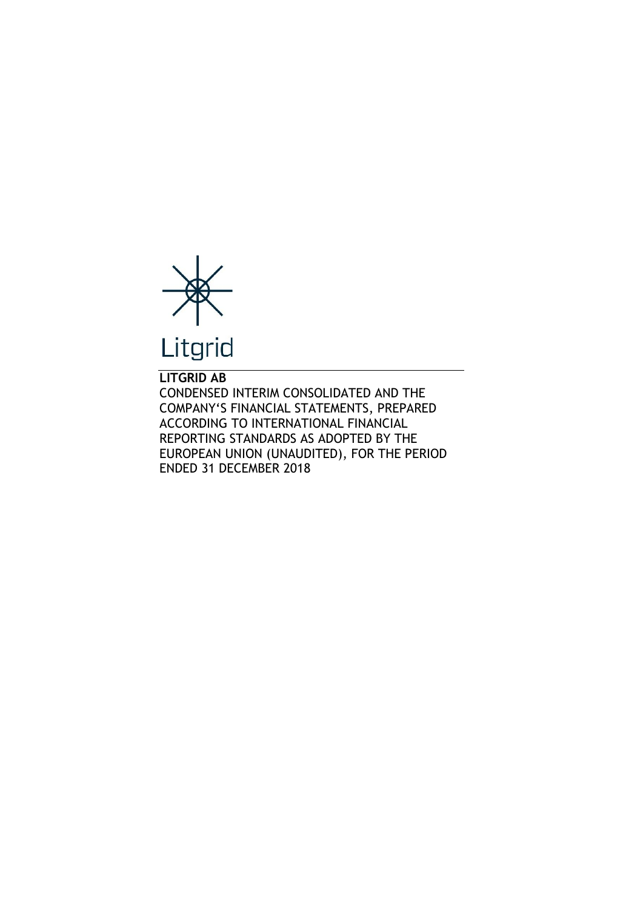

**LITGRID AB** CONDENSED INTERIM CONSOLIDATED AND THE COMPANY'S FINANCIAL STATEMENTS, PREPARED ACCORDING TO INTERNATIONAL FINANCIAL REPORTING STANDARDS AS ADOPTED BY THE EUROPEAN UNION (UNAUDITED), FOR THE PERIOD ENDED 31 DECEMBER 2018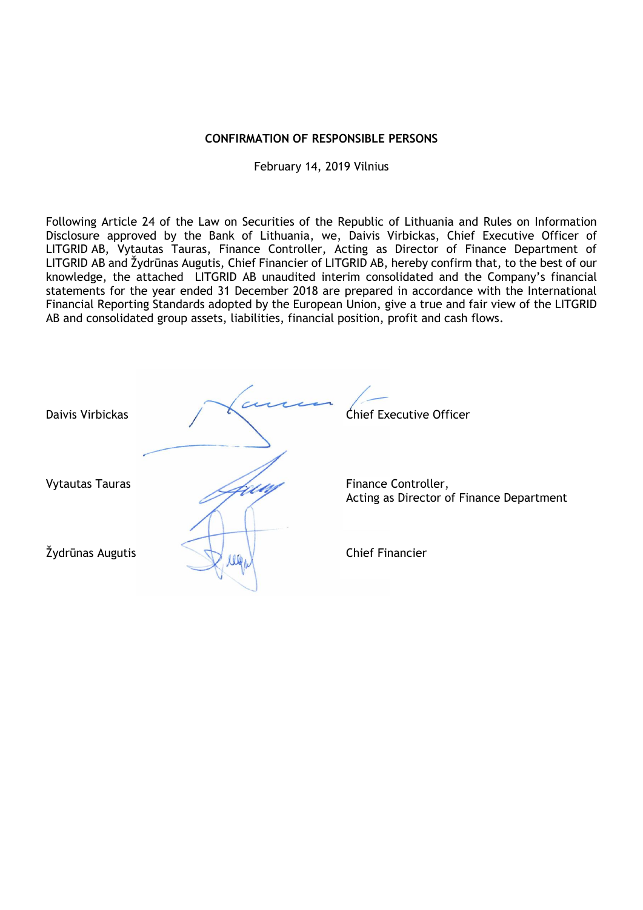# **CONFIRMATION OF RESPONSIBLE PERSONS**

February 14, 2019 Vilnius

Following Article 24 of the Law on Securities of the Republic of Lithuania and Rules on Information Disclosure approved by the Bank of Lithuania, we, Daivis Virbickas, Chief Executive Officer of LITGRID AB, Vytautas Tauras, Finance Controller, Acting as Director of Finance Department of LITGRID AB and Žydrūnas Augutis, Chief Financier of LITGRID AB, hereby confirm that, to the best of our knowledge, the attached LITGRID AB unaudited interim consolidated and the Company's financial statements for the year ended 31 December 2018 are prepared in accordance with the International Financial Reporting Standards adopted by the European Union, give a true and fair view of the LITGRID AB and consolidated group assets, liabilities, financial position, profit and cash flows.

| Daivis Virbickas       |   | Chief Executive Officer                                         |
|------------------------|---|-----------------------------------------------------------------|
| <b>Vytautas Tauras</b> |   | Finance Controller,<br>Acting as Director of Finance Department |
| Žydrūnas Augutis       | W | <b>Chief Financier</b>                                          |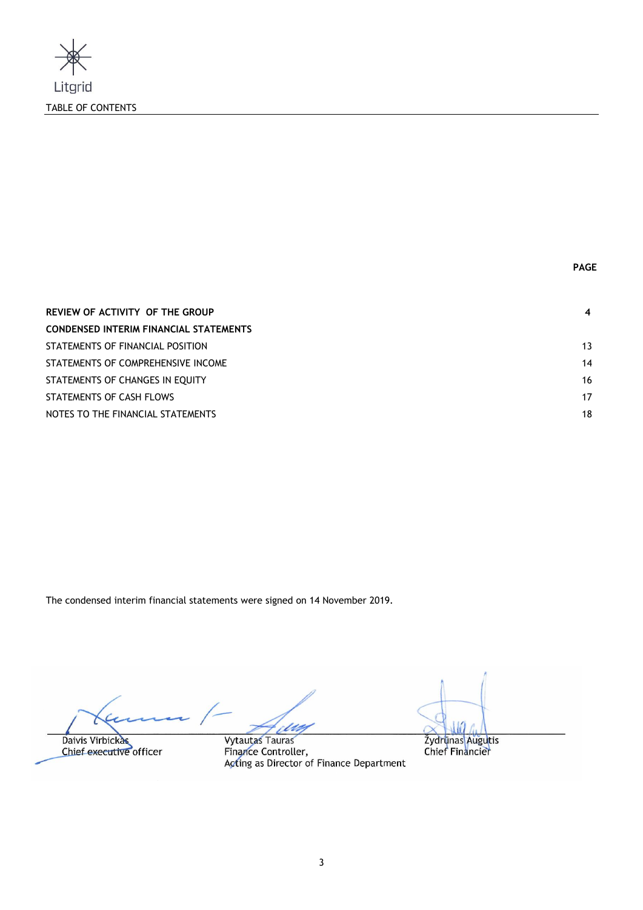

| REVIEW OF ACTIVITY OF THE GROUP               | 4  |
|-----------------------------------------------|----|
| <b>CONDENSED INTERIM FINANCIAL STATEMENTS</b> |    |
| STATEMENTS OF FINANCIAL POSITION              | 13 |
| STATEMENTS OF COMPREHENSIVE INCOME            | 14 |
| STATEMENTS OF CHANGES IN EQUITY               | 16 |
| STATEMENTS OF CASH FLOWS                      | 17 |
| NOTES TO THE FINANCIAL STATEMENTS             | 18 |

The condensed interim financial statements were signed on 14 November 2019.

ſ Daivis Virbickas

Chief executive officer

Vytautas Tauras

Žydrūnas Auguti Chief Financie

Finance Controller, Acting as Director of Finance Department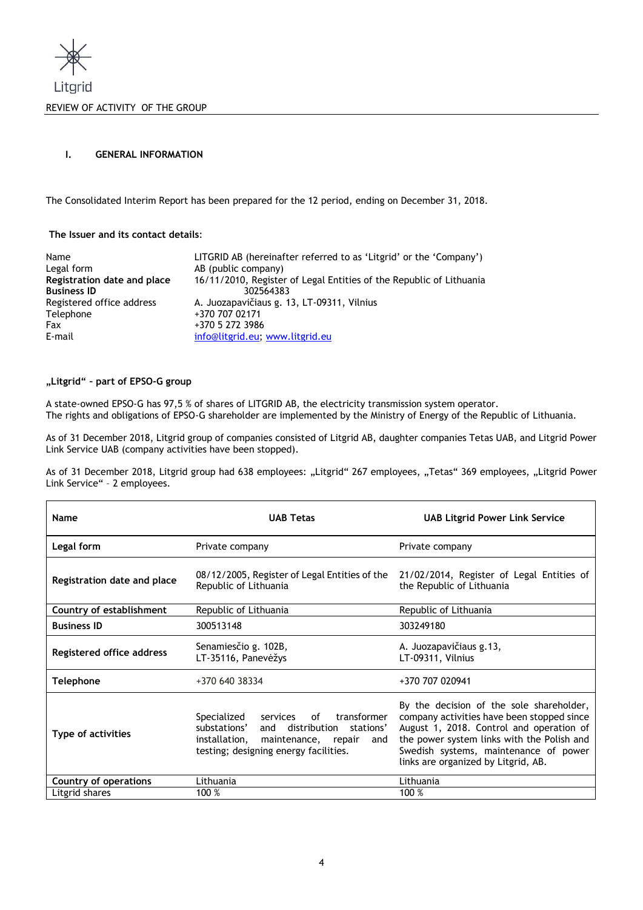

# **I. GENERAL INFORMATION**

The Consolidated Interim Report has been prepared for the 12 period, ending on December 31, 2018.

# **The Issuer and its contact details**:

| Name                        | LITGRID AB (hereinafter referred to as 'Litgrid' or the 'Company')  |
|-----------------------------|---------------------------------------------------------------------|
| Legal form                  | AB (public company)                                                 |
| Registration date and place | 16/11/2010, Register of Legal Entities of the Republic of Lithuania |
| <b>Business ID</b>          | 302564383                                                           |
| Registered office address   | A. Juozapavičiaus g. 13, LT-09311, Vilnius                          |
| Telephone                   | +370 707 02171                                                      |
| Fax                         | +370 5 272 3986                                                     |
| E-mail                      | info@litgrid.eu; www.litgrid.eu                                     |

# **"Litgrid" – part of EPSO-G group**

A state-owned EPSO-G has 97,5 % of shares of LITGRID AB, the electricity transmission system operator. The rights and obligations of EPSO-G shareholder are implemented by the Ministry of Energy of the Republic of Lithuania.

As of 31 December 2018, Litgrid group of companies consisted of Litgrid AB, daughter companies Tetas UAB, and Litgrid Power Link Service UAB (company activities have been stopped).

As of 31 December 2018, Litgrid group had 638 employees: "Litgrid" 267 employees, "Tetas" 369 employees, "Litgrid Power Link Service" - 2 employees.

| Name                             | <b>UAB Tetas</b>                                                                                                                                                                         | <b>UAB Litgrid Power Link Service</b>                                                                                                                                                                                                                            |  |
|----------------------------------|------------------------------------------------------------------------------------------------------------------------------------------------------------------------------------------|------------------------------------------------------------------------------------------------------------------------------------------------------------------------------------------------------------------------------------------------------------------|--|
| Legal form                       | Private company                                                                                                                                                                          | Private company                                                                                                                                                                                                                                                  |  |
| Registration date and place      | 08/12/2005, Register of Legal Entities of the<br>Republic of Lithuania                                                                                                                   | 21/02/2014, Register of Legal Entities of<br>the Republic of Lithuania                                                                                                                                                                                           |  |
| Country of establishment         | Republic of Lithuania                                                                                                                                                                    | Republic of Lithuania                                                                                                                                                                                                                                            |  |
| <b>Business ID</b>               | 300513148                                                                                                                                                                                | 303249180                                                                                                                                                                                                                                                        |  |
| <b>Registered office address</b> | Senamiesčio g. 102B,<br>LT-35116, Panevėžys                                                                                                                                              | A. Juozapavičiaus g.13,<br>LT-09311, Vilnius                                                                                                                                                                                                                     |  |
| Telephone                        | +370 640 38334                                                                                                                                                                           | +370 707 020941                                                                                                                                                                                                                                                  |  |
| Type of activities               | of<br>transformer<br>Specialized<br>services<br>substations'<br>distribution<br>stations'<br>and<br>installation,<br>maintenance, repair<br>and<br>testing; designing energy facilities. | By the decision of the sole shareholder,<br>company activities have been stopped since<br>August 1, 2018. Control and operation of<br>the power system links with the Polish and<br>Swedish systems, maintenance of power<br>links are organized by Litgrid, AB. |  |
| Country of operations            | Lithuania                                                                                                                                                                                | Lithuania                                                                                                                                                                                                                                                        |  |
| Litgrid shares                   | 100 %                                                                                                                                                                                    | 100 %                                                                                                                                                                                                                                                            |  |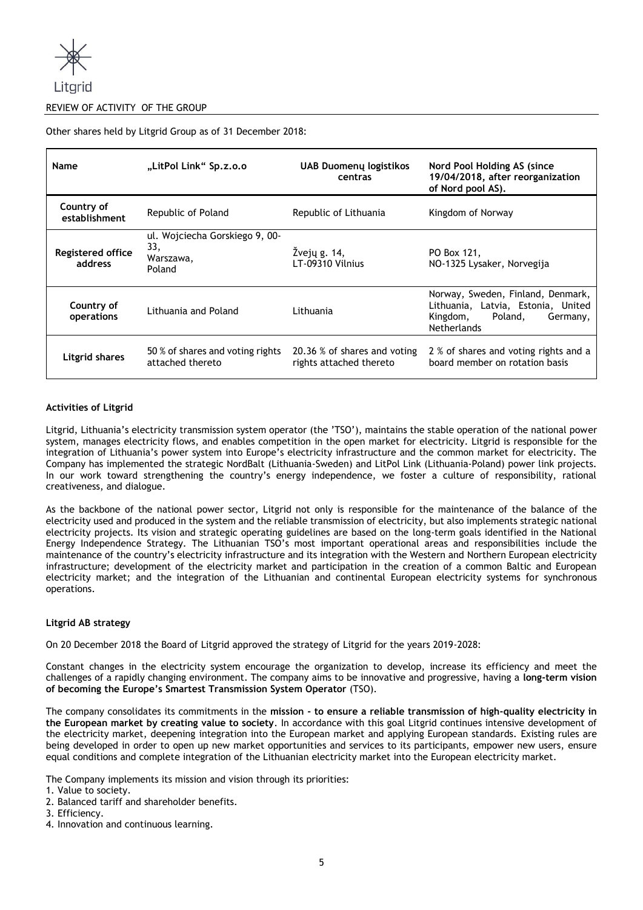

# REVIEW OF ACTIVITY OF THE GROUP

Other shares held by Litgrid Group as of 31 December 2018:

| Name                                | "LitPol Link" Sp.z.o.o                                       | <b>UAB Duomenų logistikos</b><br>centras                | Nord Pool Holding AS (since<br>19/04/2018, after reorganization<br>of Nord pool AS).                                             |
|-------------------------------------|--------------------------------------------------------------|---------------------------------------------------------|----------------------------------------------------------------------------------------------------------------------------------|
| Country of<br>establishment         | Republic of Poland                                           | Republic of Lithuania                                   | Kingdom of Norway                                                                                                                |
| <b>Registered office</b><br>address | ul. Wojciecha Gorskiego 9, 00-<br>33,<br>Warszawa,<br>Poland | Žvejų g. 14,<br>LT-09310 Vilnius                        | PO Box 121,<br>NO-1325 Lysaker, Norvegija                                                                                        |
| Country of<br>operations            | Lithuania and Poland                                         | Lithuania                                               | Norway, Sweden, Finland, Denmark,<br>Lithuania, Latvia, Estonia, United<br>Kingdom,<br>Poland,<br>Germany,<br><b>Netherlands</b> |
| <b>Litgrid shares</b>               | 50 % of shares and voting rights<br>attached thereto         | 20.36 % of shares and voting<br>rights attached thereto | 2 % of shares and voting rights and a<br>board member on rotation basis                                                          |

# **Activities of Litgrid**

Litgrid, Lithuania's electricity transmission system operator (the 'TSO'), maintains the stable operation of the national power system, manages electricity flows, and enables competition in the open market for electricity. Litgrid is responsible for the integration of Lithuania's power system into Europe's electricity infrastructure and the common market for electricity. The Company has implemented the strategic NordBalt (Lithuania-Sweden) and LitPol Link (Lithuania-Poland) power link projects. In our work toward strengthening the country's energy independence, we foster a culture of responsibility, rational creativeness, and dialogue.

As the backbone of the national power sector, Litgrid not only is responsible for the maintenance of the balance of the electricity used and produced in the system and the reliable transmission of electricity, but also implements strategic national electricity projects. Its vision and strategic operating guidelines are based on the long-term goals identified in the National Energy Independence Strategy. The Lithuanian TSO's most important operational areas and responsibilities include the maintenance of the country's electricity infrastructure and its integration with the Western and Northern European electricity infrastructure; development of the electricity market and participation in the creation of a common Baltic and European electricity market; and the integration of the Lithuanian and continental European electricity systems for synchronous operations.

# **Litgrid AB strategy**

On 20 December 2018 the Board of Litgrid approved the strategy of Litgrid for the years 2019-2028:

Constant changes in the electricity system encourage the organization to develop, increase its efficiency and meet the challenges of a rapidly changing environment. The company aims to be innovative and progressive, having a **long-term vision of becoming the Europe's Smartest Transmission System Operator** (TSO).

The company consolidates its commitments in the **mission - to ensure a reliable transmission of high-quality electricity in the European market by creating value to society**. In accordance with this goal Litgrid continues intensive development of the electricity market, deepening integration into the European market and applying European standards. Existing rules are being developed in order to open up new market opportunities and services to its participants, empower new users, ensure equal conditions and complete integration of the Lithuanian electricity market into the European electricity market.

The Company implements its mission and vision through its priorities:

- 1. Value to society.
- 2. Balanced tariff and shareholder benefits.
- 3. Efficiency.
- 4. Innovation and continuous learning.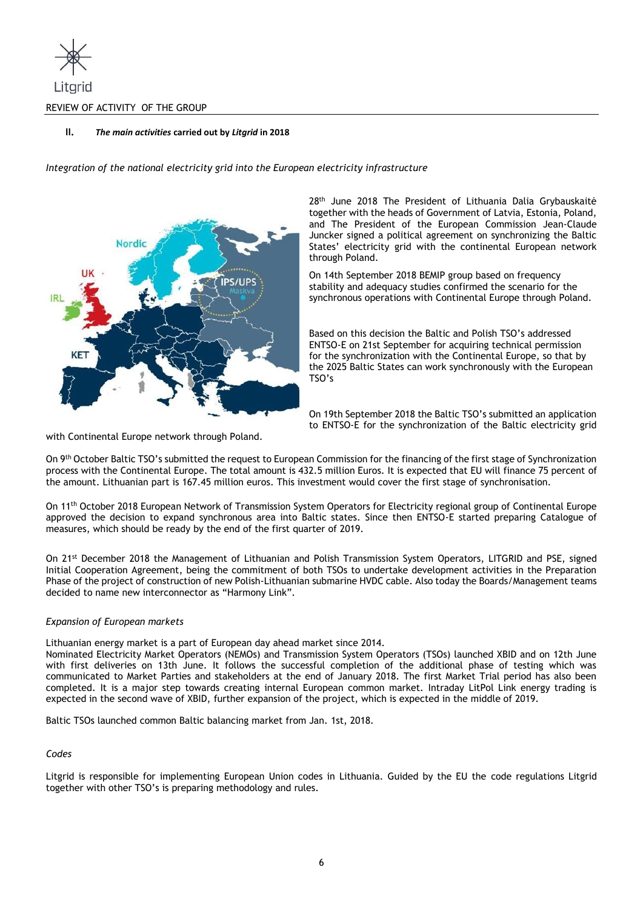

# **II.** *The main activities* **carried out by** *Litgrid* **in 2018**

*Integration of the national electricity grid into the European electricity infrastructure*



28<sup>th</sup> June 2018 The President of Lithuania Dalia Grybauskaitė together with the heads of Government of Latvia, Estonia, Poland, and The President of the European Commission Jean-Claude Juncker signed a political agreement on synchronizing the Baltic States' electricity grid with the continental European network through Poland.

On 14th September 2018 BEMIP group based on frequency stability and adequacy studies confirmed the scenario for the synchronous operations with Continental Europe through Poland.

Based on this decision the Baltic and Polish TSO's addressed ENTSO-E on 21st September for acquiring technical permission for the synchronization with the Continental Europe, so that by the 2025 Baltic States can work synchronously with the European TSO's

On 19th September 2018 the Baltic TSO's submitted an application to ENTSO-E for the synchronization of the Baltic electricity grid

with Continental Europe network through Poland.

On 9th October Baltic TSO's submitted the request to European Commission for the financing of the first stage of Synchronization process with the Continental Europe. The total amount is 432.5 million Euros. It is expected that EU will finance 75 percent of the amount. Lithuanian part is 167.45 million euros. This investment would cover the first stage of synchronisation.

On 11th October 2018 European Network of Transmission System Operators for Electricity regional group of Continental Europe approved the decision to expand synchronous area into Baltic states. Since then ENTSO-E started preparing Catalogue of measures, which should be ready by the end of the first quarter of 2019.

On 21st December 2018 the Management of Lithuanian and Polish Transmission System Operators, LITGRID and PSE, signed Initial Cooperation Agreement, being the commitment of both TSOs to undertake development activities in the Preparation Phase of the project of construction of new Polish-Lithuanian submarine HVDC cable. Also today the Boards/Management teams decided to name new interconnector as "Harmony Link".

# *Expansion of European markets*

Lithuanian energy market is a part of European day ahead market since 2014.

Nominated Electricity Market Operators (NEMOs) and Transmission System Operators (TSOs) launched XBID and on 12th June with first deliveries on 13th June. It follows the successful completion of the additional phase of testing which was communicated to Market Parties and stakeholders at the end of January 2018. The first Market Trial period has also been completed. It is a major step towards creating internal European common market. Intraday LitPol Link energy trading is expected in the second wave of XBID, further expansion of the project, which is expected in the middle of 2019.

Baltic TSOs launched common Baltic balancing market from Jan. 1st, 2018.

# *Codes*

Litgrid is responsible for implementing European Union codes in Lithuania. Guided by the EU the code regulations Litgrid together with other TSO's is preparing methodology and rules.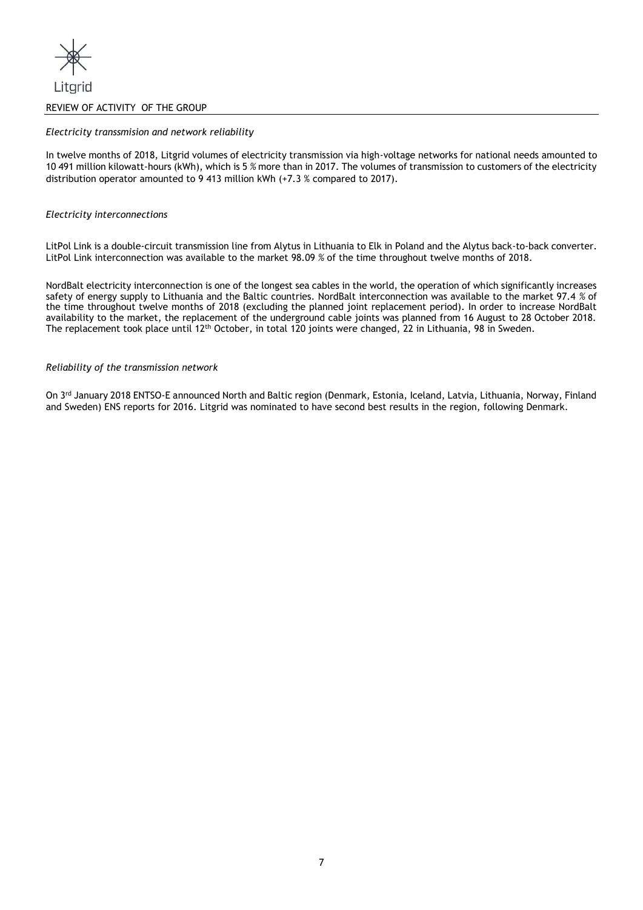

# REVIEW OF ACTIVITY OF THE GROUP

## *Electricity transsmision and network reliability*

In twelve months of 2018, Litgrid volumes of electricity transmission via high-voltage networks for national needs amounted to 10 491 million kilowatt-hours (kWh), which is 5 *%* more than in 2017. The volumes of transmission to customers of the electricity distribution operator amounted to 9 413 million kWh (+7.3 % compared to 2017).

## *Electricity interconnections*

LitPol Link is a double-circuit transmission line from Alytus in Lithuania to Elk in Poland and the Alytus back-to-back converter. LitPol Link interconnection was available to the market 98.09 *%* of the time throughout twelve months of 2018.

NordBalt electricity interconnection is one of the longest sea cables in the world, the operation of which significantly increases safety of energy supply to Lithuania and the Baltic countries. NordBalt interconnection was available to the market 97.4 *%* of the time throughout twelve months of 2018 (excluding the planned joint replacement period). In order to increase NordBalt availability to the market, the replacement of the underground cable joints was planned from 16 August to 28 October 2018. The replacement took place until 12th October, in total 120 joints were changed, 22 in Lithuania, 98 in Sweden.

#### *Reliability of the transmission network*

On 3<sup>rd</sup> January 2018 ENTSO-E announced North and Baltic region (Denmark, Estonia, Iceland, Latvia, Lithuania, Norway, Finland and Sweden) ENS reports for 2016. Litgrid was nominated to have second best results in the region, following Denmark.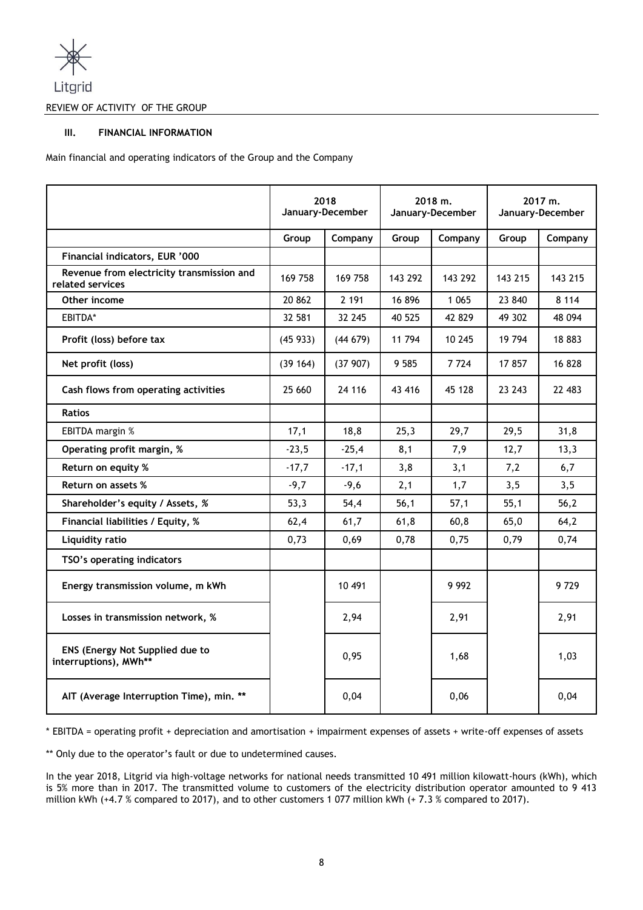

REVIEW OF ACTIVITY OF THE GROUP

# **III. FINANCIAL INFORMATION**

Main financial and operating indicators of the Group and the Company

|                                                               | 2018<br>January-December |         | 2018 m.<br>January-December |         | 2017 m.<br>January-December |         |
|---------------------------------------------------------------|--------------------------|---------|-----------------------------|---------|-----------------------------|---------|
|                                                               | Group                    | Company | Group<br>Company            |         | Group                       | Company |
| Financial indicators, EUR '000                                |                          |         |                             |         |                             |         |
| Revenue from electricity transmission and<br>related services | 169 758                  | 169 758 | 143 292                     | 143 292 | 143 215                     | 143 215 |
| Other income                                                  | 20 862                   | 2 191   | 16896                       | 1 0 6 5 | 23 840                      | 8 1 1 4 |
| EBITDA*                                                       | 32 581                   | 32 245  | 40 525                      | 42 829  | 49 302                      | 48 094  |
| Profit (loss) before tax                                      | (45933)                  | (44679) | 11 794                      | 10 245  | 19 794                      | 18 883  |
| Net profit (loss)                                             | (39 164)                 | (37907) | 9 5 8 5                     | 7724    | 17857                       | 16 828  |
| Cash flows from operating activities                          | 25 660                   | 24 116  | 43 416                      | 45 128  | 23 243                      | 22 483  |
| <b>Ratios</b>                                                 |                          |         |                             |         |                             |         |
| EBITDA margin %                                               | 17,1                     | 18.8    | 25,3                        | 29,7    | 29,5                        | 31,8    |
| Operating profit margin, %                                    | $-23,5$                  | $-25,4$ | 8,1                         | 7,9     | 12,7                        | 13,3    |
| Return on equity %                                            | $-17,7$                  | $-17,1$ | 3,8                         | 3,1     | 7,2                         | 6,7     |
| Return on assets %                                            | $-9,7$                   | $-9,6$  | 2,1                         | 1,7     | 3,5                         | 3,5     |
| Shareholder's equity / Assets, %                              | 53,3                     | 54,4    | 56,1                        | 57,1    | 55,1                        | 56,2    |
| Financial liabilities / Equity, %                             | 62,4                     | 61,7    | 61,8                        | 60, 8   | 65,0                        | 64,2    |
| Liquidity ratio                                               | 0,73                     | 0.69    | 0,78                        | 0,75    | 0,79                        | 0,74    |
| TSO's operating indicators                                    |                          |         |                             |         |                             |         |
| Energy transmission volume, m kWh                             |                          | 10 491  |                             | 9 9 9 2 |                             | 9729    |
| Losses in transmission network, %                             |                          | 2,94    |                             | 2,91    |                             | 2,91    |
| ENS (Energy Not Supplied due to<br>interruptions), MWh**      |                          | 0,95    |                             | 1,68    |                             | 1,03    |
| AIT (Average Interruption Time), min. **                      |                          | 0,04    |                             | 0,06    |                             | 0,04    |

\* EBITDA = operating profit + depreciation and amortisation + impairment expenses of assets + write-off expenses of assets

\*\* Only due to the operator's fault or due to undetermined causes.

In the year 2018, Litgrid via high-voltage networks for national needs transmitted 10 491 million kilowatt-hours (kWh), which is 5% more than in 2017. The transmitted volume to customers of the electricity distribution operator amounted to 9 413 million kWh (+4.7 % compared to 2017), and to other customers 1 077 million kWh (+ 7.3 % compared to 2017).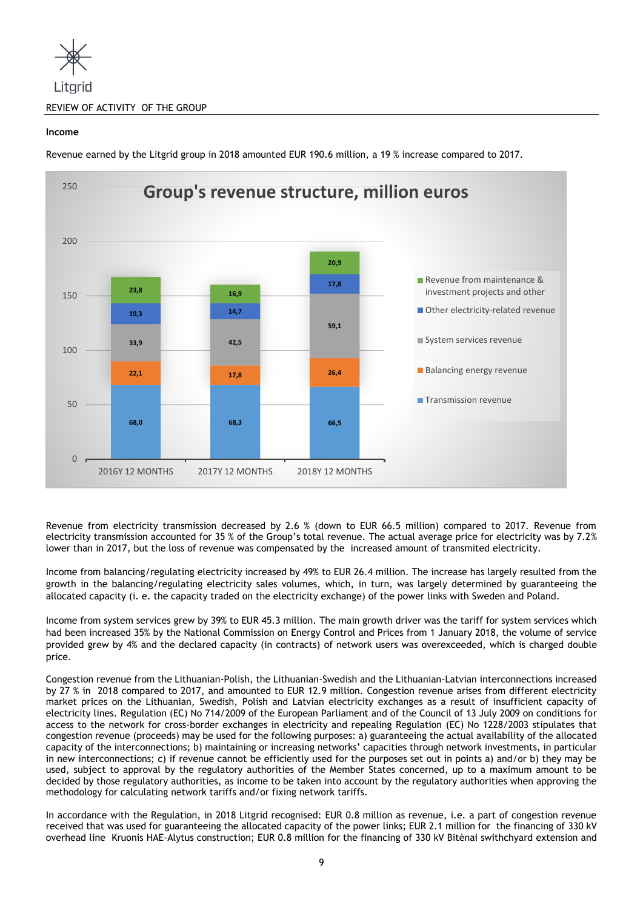

# **Income**

**68,0 68,3 66,5 22,1 17,8 26,4 33,9 42,5 59,1 19,3 14,7 17,8 23,8 16,9 20,9**  $\overline{0}$ 50 100 150 200 250 2016Y 12 MONTHS 2017Y 12 MONTHS 2018Y 12 MONTHS **Group's revenue structure, million euros** Revenue from maintenance & investment projects and other ■ Other electricity-related revenue System services revenue **Balancing energy revenue** Transmission revenue

Revenue earned by the Litgrid group in 2018 amounted EUR 190.6 million, a 19 % increase compared to 2017.

Revenue from electricity transmission decreased by 2.6 % (down to EUR 66.5 million) compared to 2017. Revenue from electricity transmission accounted for 35 % of the Group's total revenue. The actual average price for electricity was by 7.2% lower than in 2017, but the loss of revenue was compensated by the increased amount of transmited electricity.

Income from balancing/regulating electricity increased by 49% to EUR 26.4 million. The increase has largely resulted from the growth in the balancing/regulating electricity sales volumes, which, in turn, was largely determined by guaranteeing the allocated capacity (i. e. the capacity traded on the electricity exchange) of the power links with Sweden and Poland.

Income from system services grew by 39% to EUR 45.3 million. The main growth driver was the tariff for system services which had been increased 35% by the National Commission on Energy Control and Prices from 1 January 2018, the volume of service provided grew by 4% and the declared capacity (in contracts) of network users was overexceeded, which is charged double price.

Congestion revenue from the Lithuanian-Polish, the Lithuanian-Swedish and the Lithuanian-Latvian interconnections increased by 27 % in 2018 compared to 2017, and amounted to EUR 12.9 million. Congestion revenue arises from different electricity market prices on the Lithuanian, Swedish, Polish and Latvian electricity exchanges as a result of insufficient capacity of electricity lines. Regulation (EC) No 714/2009 of the European Parliament and of the Council of 13 July 2009 on conditions for access to the network for cross-border exchanges in electricity and repealing Regulation (EC) No 1228/2003 stipulates that congestion revenue (proceeds) may be used for the following purposes: a) guaranteeing the actual availability of the allocated capacity of the interconnections; b) maintaining or increasing networks' capacities through network investments, in particular in new interconnections; c) if revenue cannot be efficiently used for the purposes set out in points a) and/or b) they may be used, subject to approval by the regulatory authorities of the Member States concerned, up to a maximum amount to be decided by those regulatory authorities, as income to be taken into account by the regulatory authorities when approving the methodology for calculating network tariffs and/or fixing network tariffs.

In accordance with the Regulation, in 2018 Litgrid recognised: EUR 0.8 million as revenue, i.e. a part of congestion revenue received that was used for guaranteeing the allocated capacity of the power links; EUR 2.1 million for the financing of 330 kV overhead line Kruonis HAE-Alytus construction; EUR 0.8 million for the financing of 330 kV Bitėnai swithchyard extension and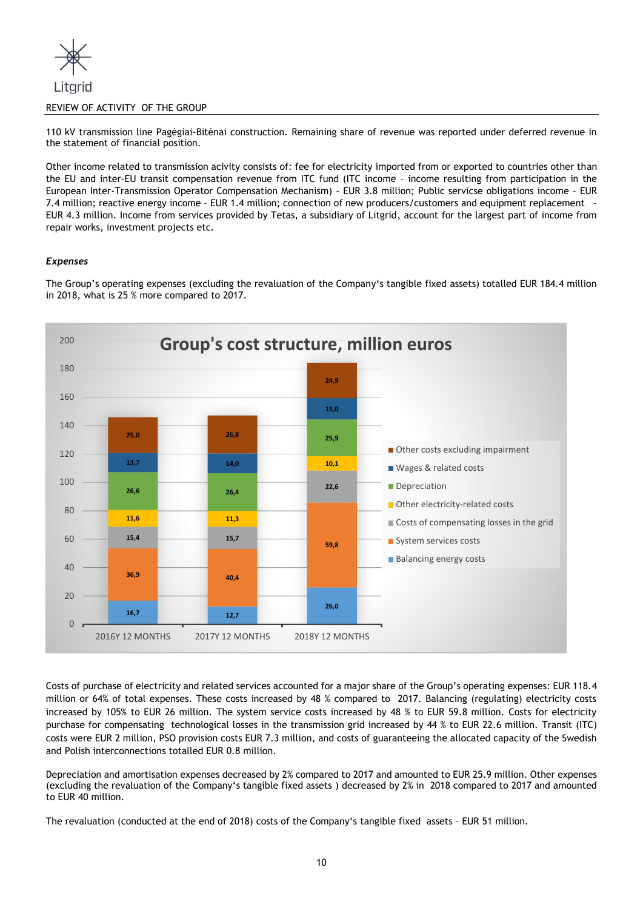

# REVIEW OF ACTIVITY OF THE GROUP

110 kV transmission line Pagėgiai-Bitėnai construction. Remaining share of revenue was reported under deferred revenue in the statement of financial position.

Other income related to transmission acivity consists of: fee for electricity imported from or exported to countries other than the EU and inter-EU transit compensation revenue from ITC fund (ITC income – income resulting from participation in the European Inter-Transmission Operator Compensation Mechanism) – EUR 3.8 million; Public servicse obligations income – EUR 7.4 million; reactive energy income – EUR 1.4 million; connection of new producers/customers and equipment replacement – EUR 4.3 million. Income from services provided by Tetas, a subsidiary of Litgrid, account for the largest part of income from repair works, investment projects etc.

# *Expenses*

The Group's operating expenses (excluding the revaluation of the Company's tangible fixed assets) totalled EUR 184.4 million in 2018, what is 25 % more compared to 2017.



Costs of purchase of electricity and related services accounted for a major share of the Group's operating expenses: EUR 118.4 million or 64% of total expenses. These costs increased by 48 % compared to 2017. Balancing (regulating) electricity costs increased by 105% to EUR 26 million. The system service costs increased by 48 % to EUR 59.8 million. Costs for electricity purchase for compensating technological losses in the transmission grid increased by 44 % to EUR 22.6 million. Transit (ITC) costs were EUR 2 million, PSO provision costs EUR 7.3 million, and costs of guaranteeing the allocated capacity of the Swedish and Polish interconnections totalled EUR 0.8 million.

Depreciation and amortisation expenses decreased by 2% compared to 2017 and amounted to EUR 25.9 million. Other expenses (excluding the revaluation of the Company's tangible fixed assets ) decreased by 2% in 2018 compared to 2017 and amounted to EUR 40 million.

The revaluation (conducted at the end of 2018) costs of the Company's tangible fixed assets – EUR 51 million.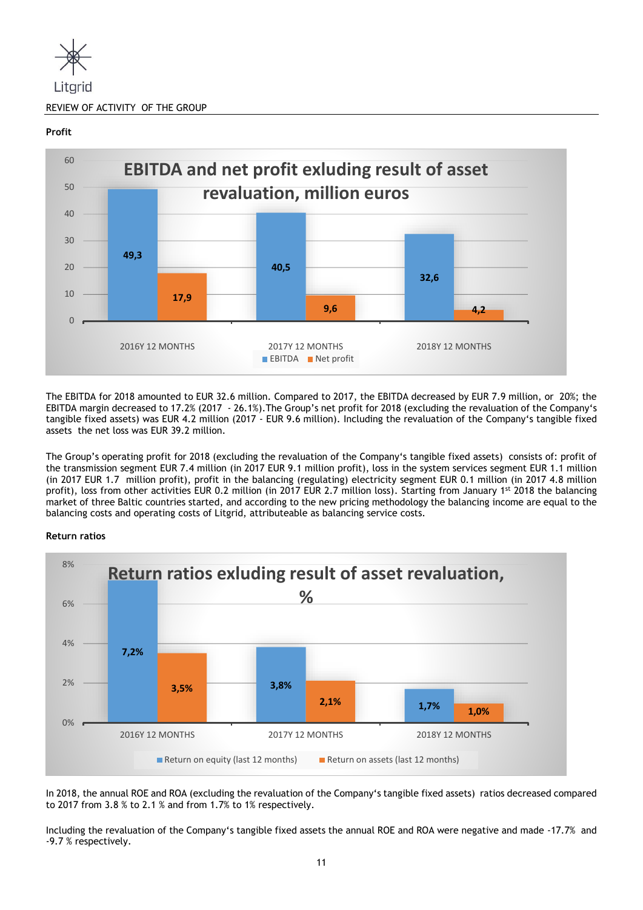

# **Profit**



The EBITDA for 2018 amounted to EUR 32.6 million. Compared to 2017, the EBITDA decreased by EUR 7.9 million, or 20%; the EBITDA margin decreased to 17.2% (2017 - 26.1%).The Group's net profit for 2018 (excluding the revaluation of the Company's tangible fixed assets) was EUR 4.2 million (2017 - EUR 9.6 million). Including the revaluation of the Company's tangible fixed assets the net loss was EUR 39.2 million.

The Group's operating profit for 2018 (excluding the revaluation of the Company's tangible fixed assets) consists of: profit of the transmission segment EUR 7.4 million (in 2017 EUR 9.1 million profit), loss in the system services segment EUR 1.1 million (in 2017 EUR 1.7 million profit), profit in the balancing (regulating) electricity segment EUR 0.1 million (in 2017 4.8 million profit), loss from other activities EUR 0.2 million (in 2017 EUR 2.7 million loss). Starting from January 1st 2018 the balancing market of three Baltic countries started, and according to the new pricing methodology the balancing income are equal to the balancing costs and operating costs of Litgrid, attributeable as balancing service costs.

# **Return ratios**



In 2018, the annual ROE and ROA (excluding the revaluation of the Company's tangible fixed assets) ratios decreased compared to 2017 from 3.8 % to 2.1 % and from 1.7% to 1% respectively.

Including the revaluation of the Company's tangible fixed assets the annual ROE and ROA were negative and made -17.7% and -9.7 % respectively.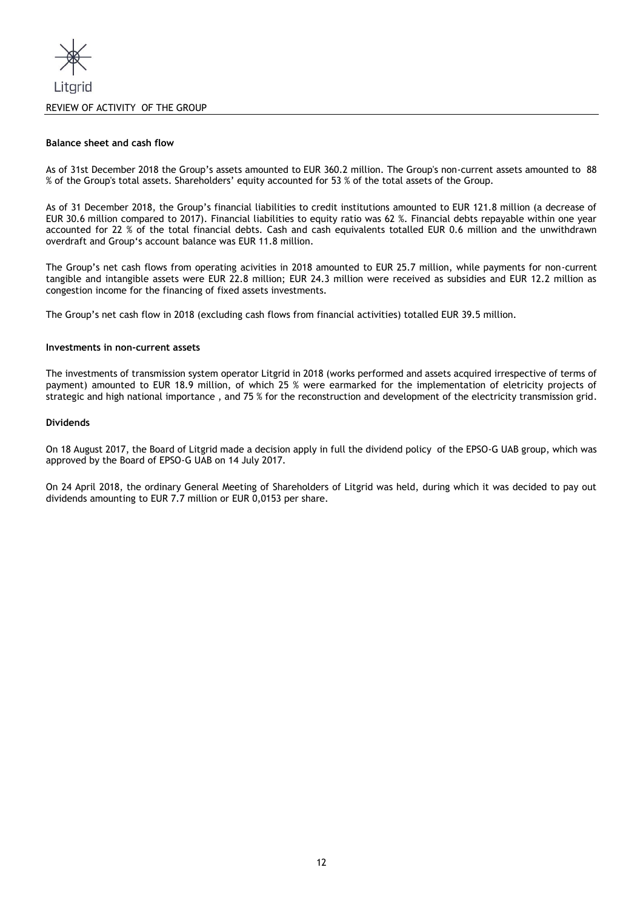

#### **Balance sheet and cash flow**

As of 31st December 2018 the Group's assets amounted to EUR 360.2 million. The Group's non-current assets amounted to 88 % of the Group's total assets. Shareholders' equity accounted for 53 % of the total assets of the Group.

As of 31 December 2018, the Group's financial liabilities to credit institutions amounted to EUR 121.8 million (a decrease of EUR 30.6 million compared to 2017). Financial liabilities to equity ratio was 62 %. Financial debts repayable within one year accounted for 22 % of the total financial debts. Cash and cash equivalents totalled EUR 0.6 million and the unwithdrawn overdraft and Group's account balance was EUR 11.8 million.

The Group's net cash flows from operating acivities in 2018 amounted to EUR 25.7 million, while payments for non-current tangible and intangible assets were EUR 22.8 million; EUR 24.3 million were received as subsidies and EUR 12.2 million as congestion income for the financing of fixed assets investments.

The Group's net cash flow in 2018 (excluding cash flows from financial activities) totalled EUR 39.5 million.

## **Investments in non-current assets**

The investments of transmission system operator Litgrid in 2018 (works performed and assets acquired irrespective of terms of payment) amounted to EUR 18.9 million, of which 25 % were earmarked for the implementation of eletricity projects of strategic and high national importance , and 75 % for the reconstruction and development of the electricity transmission grid.

# **Dividends**

On 18 August 2017, the Board of Litgrid made a decision apply in full the dividend policy of the EPSO-G UAB group, which was approved by the Board of EPSO-G UAB on 14 July 2017.

On 24 April 2018, the ordinary General Meeting of Shareholders of Litgrid was held, during which it was decided to pay out dividends amounting to EUR 7.7 million or EUR 0,0153 per share.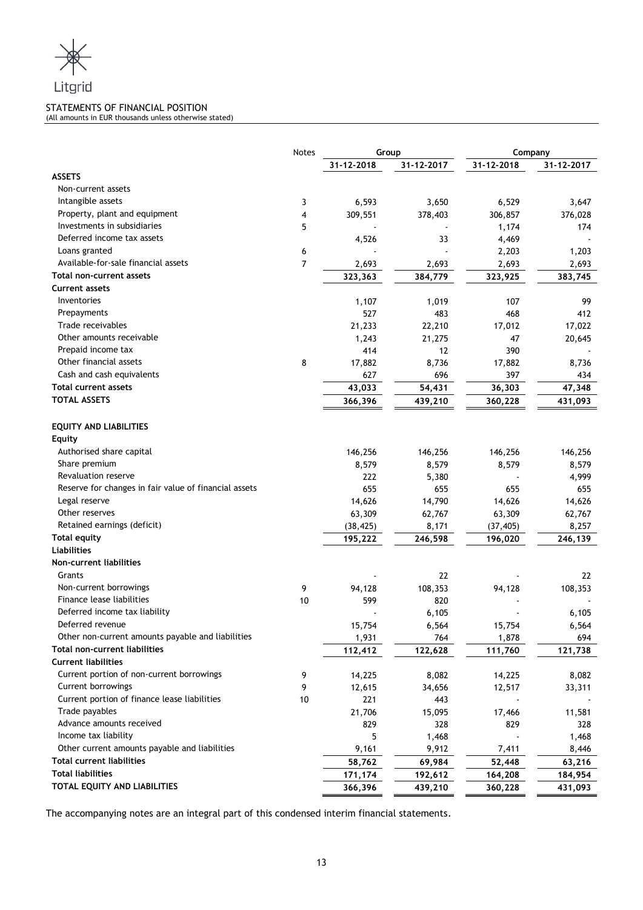

# STATEMENTS OF FINANCIAL POSITION

(All amounts in EUR thousands unless otherwise stated)

|                                                       | <b>Notes</b> | Group      |            | Company    |            |
|-------------------------------------------------------|--------------|------------|------------|------------|------------|
|                                                       |              | 31-12-2018 | 31-12-2017 | 31-12-2018 | 31-12-2017 |
| <b>ASSETS</b>                                         |              |            |            |            |            |
| Non-current assets                                    |              |            |            |            |            |
| Intangible assets                                     | 3            | 6,593      | 3,650      | 6,529      | 3,647      |
| Property, plant and equipment                         | 4            | 309,551    | 378,403    | 306,857    | 376,028    |
| Investments in subsidiaries                           | 5            |            |            | 1,174      | 174        |
| Deferred income tax assets                            |              | 4,526      | 33         | 4,469      |            |
| Loans granted                                         | 6            |            |            | 2,203      | 1,203      |
| Available-for-sale financial assets                   | 7            | 2,693      | 2,693      | 2,693      | 2,693      |
| Total non-current assets                              |              | 323,363    | 384,779    | 323,925    | 383,745    |
| <b>Current assets</b>                                 |              |            |            |            |            |
| Inventories                                           |              | 1,107      | 1,019      | 107        | 99         |
| Prepayments                                           |              | 527        | 483        | 468        | 412        |
| Trade receivables                                     |              | 21,233     | 22,210     | 17,012     | 17,022     |
| Other amounts receivable                              |              | 1,243      | 21,275     | 47         | 20,645     |
| Prepaid income tax                                    |              | 414        | 12         | 390        |            |
| Other financial assets                                | 8            | 17,882     | 8,736      | 17,882     | 8,736      |
| Cash and cash equivalents                             |              | 627        | 696        | 397        | 434        |
| Total current assets                                  |              | 43,033     | 54,431     | 36,303     | 47,348     |
| <b>TOTAL ASSETS</b>                                   |              | 366,396    | 439,210    | 360,228    | 431,093    |
|                                                       |              |            |            |            |            |
| <b>EQUITY AND LIABILITIES</b>                         |              |            |            |            |            |
| <b>Equity</b>                                         |              |            |            |            |            |
| Authorised share capital                              |              | 146,256    | 146,256    | 146,256    | 146,256    |
| Share premium                                         |              | 8,579      | 8,579      | 8,579      | 8,579      |
| Revaluation reserve                                   |              | 222        | 5,380      |            | 4,999      |
| Reserve for changes in fair value of financial assets |              | 655        | 655        | 655        | 655        |
| Legal reserve                                         |              | 14,626     | 14,790     | 14,626     | 14,626     |
| Other reserves                                        |              | 63,309     | 62,767     | 63,309     | 62,767     |
| Retained earnings (deficit)                           |              | (38, 425)  | 8,171      | (37, 405)  | 8,257      |
| <b>Total equity</b>                                   |              | 195,222    | 246,598    | 196,020    | 246,139    |
| <b>Liabilities</b>                                    |              |            |            |            |            |
| <b>Non-current liabilities</b>                        |              |            |            |            |            |
| Grants                                                |              |            | 22         |            | 22         |
| Non-current borrowings                                | 9            | 94,128     | 108,353    | 94,128     | 108,353    |
| Finance lease liabilities                             | 10           | 599        | 820        |            |            |
| Deferred income tax liability                         |              |            | 6,105      |            | 6,105      |
| Deferred revenue                                      |              | 15,754     | 6,564      | 15,754     | 6,564      |
| Other non-current amounts payable and liabilities     |              | 1,931      | 764        | 1,878      | 694        |
| Total non-current liabilities                         |              | 112,412    | 122,628    | 111,760    | 121,738    |
| <b>Current liabilities</b>                            |              |            |            |            |            |
| Current portion of non-current borrowings             | 9            | 14,225     | 8,082      | 14,225     | 8,082      |
| Current borrowings                                    | 9            | 12,615     | 34,656     | 12,517     | 33,311     |
| Current portion of finance lease liabilities          | 10           | 221        | 443        |            |            |
| Trade payables                                        |              | 21,706     | 15,095     | 17,466     | 11,581     |
| Advance amounts received                              |              | 829        | 328        | 829        | 328        |
| Income tax liability                                  |              | 5          | 1,468      |            | 1,468      |
| Other current amounts payable and liabilities         |              | 9,161      | 9,912      | 7,411      | 8,446      |
| <b>Total current liabilities</b>                      |              | 58,762     | 69,984     | 52,448     | 63,216     |
| <b>Total liabilities</b>                              |              | 171,174    | 192,612    | 164,208    | 184,954    |
| TOTAL EQUITY AND LIABILITIES                          |              | 366,396    | 439,210    | 360,228    | 431,093    |
|                                                       |              |            |            |            |            |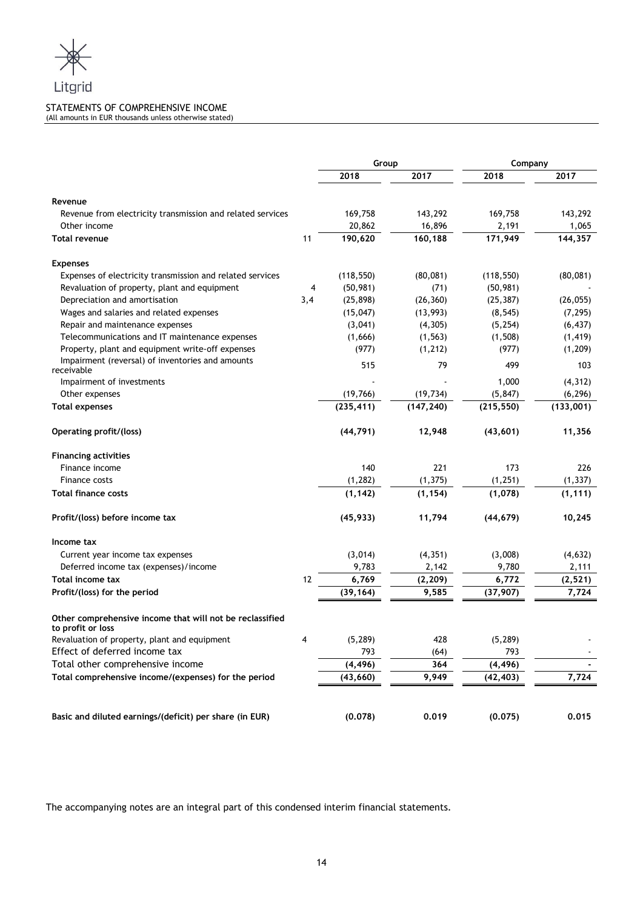

## STATEMENTS OF COMPREHENSIVE INCOME (All amounts in EUR thousands unless otherwise stated)

|                                                                               |     | Group      |            | Company    |           |  |
|-------------------------------------------------------------------------------|-----|------------|------------|------------|-----------|--|
|                                                                               |     | 2018       | 2017       | 2018       | 2017      |  |
| Revenue                                                                       |     |            |            |            |           |  |
| Revenue from electricity transmission and related services                    |     | 169,758    | 143,292    | 169,758    | 143,292   |  |
| Other income                                                                  |     | 20,862     | 16,896     | 2,191      | 1,065     |  |
| <b>Total revenue</b>                                                          | 11  | 190,620    | 160,188    | 171,949    | 144,357   |  |
| <b>Expenses</b>                                                               |     |            |            |            |           |  |
| Expenses of electricity transmission and related services                     |     | (118, 550) | (80,081)   | (118, 550) | (80,081)  |  |
| Revaluation of property, plant and equipment                                  | 4   | (50, 981)  | (71)       | (50, 981)  |           |  |
| Depreciation and amortisation                                                 | 3,4 | (25, 898)  | (26, 360)  | (25, 387)  | (26, 055) |  |
| Wages and salaries and related expenses                                       |     | (15, 047)  | (13,993)   | (8, 545)   | (7, 295)  |  |
| Repair and maintenance expenses                                               |     | (3,041)    | (4, 305)   | (5, 254)   | (6, 437)  |  |
| Telecommunications and IT maintenance expenses                                |     | (1,666)    | (1, 563)   | (1,508)    | (1, 419)  |  |
| Property, plant and equipment write-off expenses                              |     | (977)      | (1, 212)   | (977)      | (1, 209)  |  |
| Impairment (reversal) of inventories and amounts<br>receivable                |     | 515        | 79         | 499        | 103       |  |
| Impairment of investments                                                     |     |            |            | 1,000      | (4, 312)  |  |
| Other expenses                                                                |     | (19,766)   | (19, 734)  | (5, 847)   | (6, 296)  |  |
| <b>Total expenses</b>                                                         |     | (235, 411) | (147, 240) | (215, 550) | (133,001) |  |
| Operating profit/(loss)                                                       |     | (44, 791)  | 12,948     | (43, 601)  | 11,356    |  |
| <b>Financing activities</b>                                                   |     |            |            |            |           |  |
| Finance income                                                                |     | 140        | 221        | 173        | 226       |  |
| Finance costs                                                                 |     | (1, 282)   | (1, 375)   | (1, 251)   | (1, 337)  |  |
| <b>Total finance costs</b>                                                    |     | (1, 142)   | (1, 154)   | (1,078)    | (1, 111)  |  |
| Profit/(loss) before income tax                                               |     | (45, 933)  | 11,794     | (44, 679)  | 10,245    |  |
| Income tax                                                                    |     |            |            |            |           |  |
| Current year income tax expenses                                              |     | (3,014)    | (4, 351)   | (3,008)    | (4, 632)  |  |
| Deferred income tax (expenses)/income                                         |     | 9,783      | 2,142      | 9,780      | 2,111     |  |
| Total income tax                                                              | 12  | 6,769      | (2, 209)   | 6,772      | (2, 521)  |  |
| Profit/(loss) for the period                                                  |     | (39, 164)  | 9,585      | (37, 907)  | 7,724     |  |
| Other comprehensive income that will not be reclassified<br>to profit or loss |     |            |            |            |           |  |
| Revaluation of property, plant and equipment                                  | 4   | (5, 289)   | 428        | (5, 289)   |           |  |
| Effect of deferred income tax                                                 |     | 793        | (64)       | 793        |           |  |
| Total other comprehensive income                                              |     | (4, 496)   | 364        | (4, 496)   |           |  |
| Total comprehensive income/(expenses) for the period                          |     | (43, 660)  | 9,949      | (42, 403)  | 7,724     |  |
|                                                                               |     |            |            |            |           |  |
| Basic and diluted earnings/(deficit) per share (in EUR)                       |     | (0.078)    | 0.019      | (0.075)    | 0.015     |  |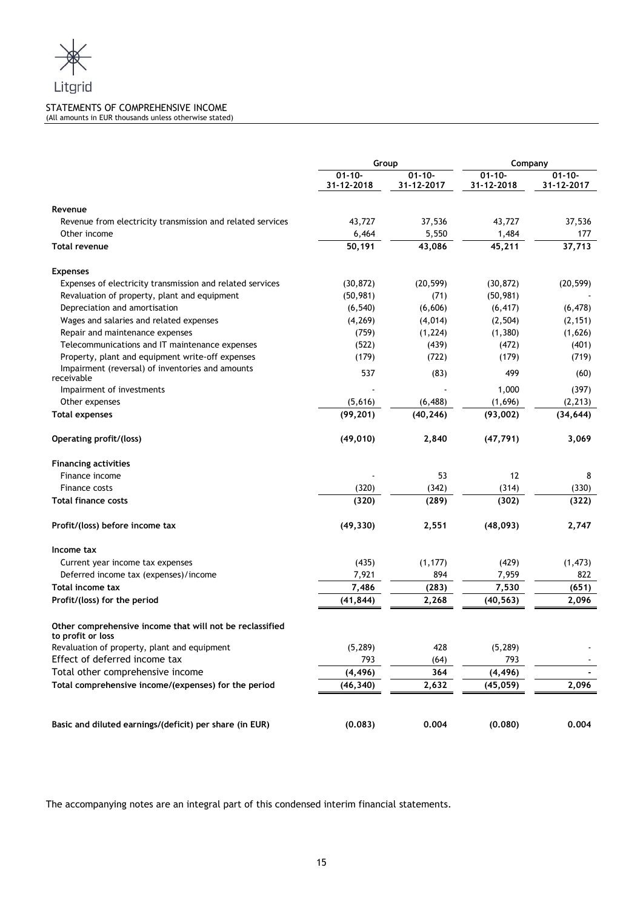

## STATEMENTS OF COMPREHENSIVE INCOME (All amounts in EUR thousands unless otherwise stated)

|                                                                               | Group<br>Company          |                           |                           |                           |
|-------------------------------------------------------------------------------|---------------------------|---------------------------|---------------------------|---------------------------|
|                                                                               | $01 - 10 -$<br>31-12-2018 | $01 - 10 -$<br>31-12-2017 | $01 - 10 -$<br>31-12-2018 | $01 - 10 -$<br>31-12-2017 |
| Revenue                                                                       |                           |                           |                           |                           |
| Revenue from electricity transmission and related services                    | 43,727                    | 37,536                    | 43,727                    | 37,536                    |
| Other income                                                                  | 6,464                     | 5,550                     | 1,484                     | 177                       |
| <b>Total revenue</b>                                                          | 50,191                    | 43,086                    | 45,211                    | 37,713                    |
| <b>Expenses</b>                                                               |                           |                           |                           |                           |
| Expenses of electricity transmission and related services                     | (30, 872)                 | (20, 599)                 | (30, 872)                 | (20, 599)                 |
| Revaluation of property, plant and equipment                                  | (50, 981)                 | (71)                      | (50, 981)                 |                           |
| Depreciation and amortisation                                                 | (6, 540)                  | (6,606)                   | (6, 417)                  | (6, 478)                  |
| Wages and salaries and related expenses                                       | (4, 269)                  | (4,014)                   | (2, 504)                  | (2, 151)                  |
| Repair and maintenance expenses                                               | (759)                     | (1, 224)                  | (1, 380)                  | (1,626)                   |
| Telecommunications and IT maintenance expenses                                | (522)                     | (439)                     | (472)                     | (401)                     |
| Property, plant and equipment write-off expenses                              | (179)                     | (722)                     | (179)                     | (719)                     |
| Impairment (reversal) of inventories and amounts<br>receivable                | 537                       | (83)                      | 499                       | (60)                      |
| Impairment of investments                                                     |                           |                           | 1,000                     | (397)                     |
| Other expenses                                                                | (5,616)                   | (6, 488)                  | (1,696)                   | (2, 213)                  |
| <b>Total expenses</b>                                                         | (99, 201)                 | (40, 246)                 | (93,002)                  | (34, 644)                 |
| Operating profit/(loss)                                                       | (49, 010)                 | 2,840                     | (47, 791)                 | 3,069                     |
| <b>Financing activities</b>                                                   |                           |                           |                           |                           |
| Finance income                                                                |                           | 53                        | 12                        | 8                         |
| Finance costs                                                                 | (320)                     | (342)                     | (314)                     | (330)                     |
| <b>Total finance costs</b>                                                    | (320)                     | (289)                     | (302)                     | (322)                     |
| Profit/(loss) before income tax                                               | (49, 330)                 | 2,551                     | (48, 093)                 | 2,747                     |
| Income tax                                                                    |                           |                           |                           |                           |
| Current year income tax expenses                                              | (435)                     | (1, 177)                  | (429)                     | (1, 473)                  |
| Deferred income tax (expenses)/income                                         | 7,921                     | 894                       | 7,959                     | 822                       |
| Total income tax                                                              | 7,486                     | (283)                     | 7,530                     | (651)                     |
| Profit/(loss) for the period                                                  | (41, 844)                 | 2,268                     | (40, 563)                 | 2,096                     |
| Other comprehensive income that will not be reclassified<br>to profit or loss |                           |                           |                           |                           |
| Revaluation of property, plant and equipment                                  | (5, 289)                  | 428                       | (5, 289)                  |                           |
| Effect of deferred income tax                                                 | 793                       | (64)                      | 793                       |                           |
| Total other comprehensive income                                              | (4, 496)                  | 364                       | (4, 496)                  | $\blacksquare$            |
| Total comprehensive income/(expenses) for the period                          | (46, 340)                 | 2,632                     | (45, 059)                 | 2,096                     |
|                                                                               |                           |                           |                           |                           |
| Basic and diluted earnings/(deficit) per share (in EUR)                       | (0.083)                   | 0.004                     | (0.080)                   | 0.004                     |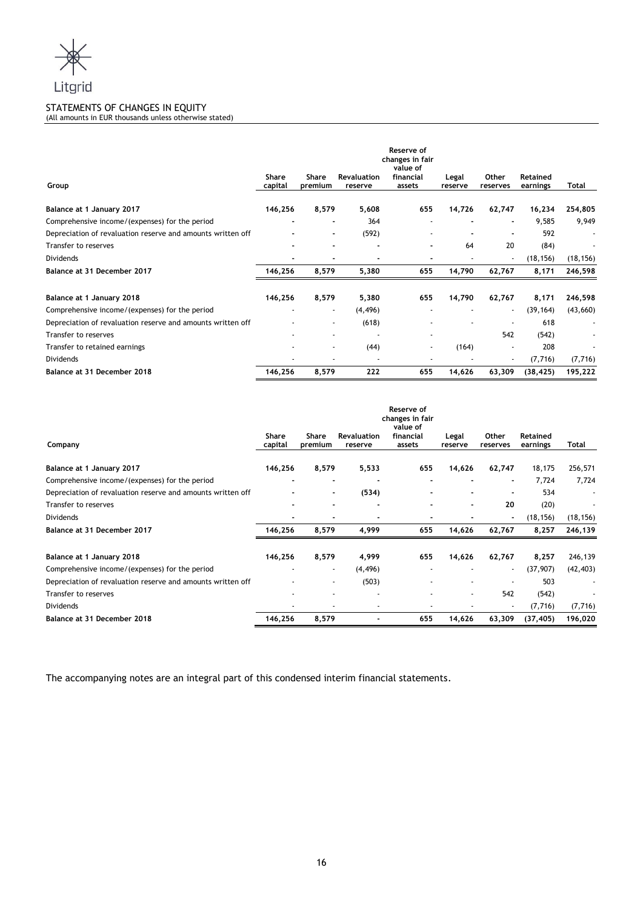

# STATEMENTS OF CHANGES IN EQUITY

(All amounts in EUR thousands unless otherwise stated)

| Group                                                       | Share<br>capital         | Share<br>premium         | <b>Revaluation</b><br>reserve | Reserve of<br>changes in fair<br>value of<br>financial<br>assets | Legal<br>reserve | Other<br>reserves | <b>Retained</b><br>earnings | Total     |
|-------------------------------------------------------------|--------------------------|--------------------------|-------------------------------|------------------------------------------------------------------|------------------|-------------------|-----------------------------|-----------|
| Balance at 1 January 2017                                   | 146,256                  | 8,579                    | 5,608                         | 655                                                              | 14,726           | 62,747            | 16,234                      | 254,805   |
| Comprehensive income/(expenses) for the period              | $\overline{\phantom{0}}$ | $\overline{\phantom{a}}$ | 364                           |                                                                  |                  |                   | 9,585                       | 9,949     |
| Depreciation of revaluation reserve and amounts written off |                          |                          | (592)                         |                                                                  |                  |                   | 592                         |           |
| Transfer to reserves                                        |                          |                          |                               |                                                                  | 64               | 20                | (84)                        |           |
| <b>Dividends</b>                                            |                          | ٠                        |                               | ٠                                                                |                  | ٠                 | (18, 156)                   | (18, 156) |
| Balance at 31 December 2017                                 | 146,256                  | 8,579                    | 5,380                         | 655                                                              | 14,790           | 62,767            | 8,171                       | 246,598   |
| Balance at 1 January 2018                                   | 146,256                  | 8,579                    | 5,380                         | 655                                                              | 14,790           | 62,767            | 8,171                       | 246,598   |
| Comprehensive income/(expenses) for the period              |                          | ٠                        | (4, 496)                      |                                                                  |                  | $\sim$            | (39, 164)                   | (43, 660) |
| Depreciation of revaluation reserve and amounts written off |                          |                          | (618)                         |                                                                  |                  |                   | 618                         |           |
| Transfer to reserves                                        |                          |                          |                               | ٠                                                                |                  | 542               | (542)                       |           |
| Transfer to retained earnings                               |                          | ٠                        | (44)                          | ٠                                                                | (164)            |                   | 208                         |           |
| <b>Dividends</b>                                            |                          |                          |                               |                                                                  |                  | ٠                 | (7, 716)                    | (7, 716)  |
| Balance at 31 December 2018                                 | 146,256                  | 8,579                    | 222                           | 655                                                              | 14,626           | 63,309            | (38, 425)                   | 195,222   |

|                                                             |         |         |                          | Reserve of<br>changes in fair<br>value of |         |                |                 |           |
|-------------------------------------------------------------|---------|---------|--------------------------|-------------------------------------------|---------|----------------|-----------------|-----------|
|                                                             | Share   | Share   | <b>Revaluation</b>       | financial                                 | Legal   | Other          | <b>Retained</b> |           |
| Company                                                     | capital | premium | reserve                  | assets                                    | reserve | reserves       | earnings        | Total     |
| Balance at 1 January 2017                                   | 146,256 | 8,579   | 5,533                    | 655                                       | 14,626  | 62,747         | 18,175          | 256,571   |
| Comprehensive income/(expenses) for the period              |         |         |                          |                                           |         | $\blacksquare$ | 7,724           | 7,724     |
| Depreciation of revaluation reserve and amounts written off |         |         | (534)                    |                                           |         |                | 534             |           |
| Transfer to reserves                                        |         |         | $\overline{\phantom{a}}$ |                                           | ۰       | 20             | (20)            |           |
| <b>Dividends</b>                                            |         | -       |                          |                                           |         |                | (18, 156)       | (18, 156) |
| Balance at 31 December 2017                                 | 146,256 | 8,579   | 4,999                    | 655                                       | 14,626  | 62,767         | 8,257           | 246,139   |
| Balance at 1 January 2018                                   | 146,256 | 8,579   | 4,999                    | 655                                       | 14,626  | 62,767         | 8,257           | 246,139   |
| Comprehensive income/(expenses) for the period              |         | ٠       | (4, 496)                 |                                           |         | $\sim$         | (37,907)        | (42, 403) |
| Depreciation of revaluation reserve and amounts written off |         |         | (503)                    |                                           |         |                | 503             |           |
| Transfer to reserves                                        |         |         |                          |                                           | ٠       | 542            | (542)           |           |
| <b>Dividends</b>                                            | ٠       |         |                          |                                           |         |                | (7, 716)        | (7, 716)  |
| Balance at 31 December 2018                                 | 146,256 | 8,579   | ۰                        | 655                                       | 14,626  | 63,309         | (37, 405)       | 196,020   |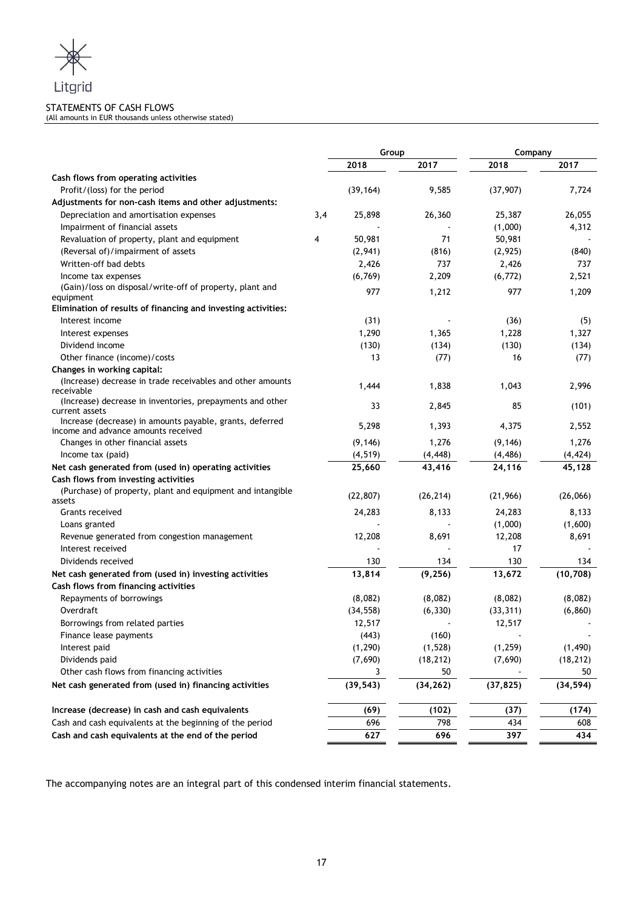

# STATEMENTS OF CASH FLOWS

(All amounts in EUR thousands unless otherwise stated)

|                                                                                                 |     | Group     |           | Company   |           |
|-------------------------------------------------------------------------------------------------|-----|-----------|-----------|-----------|-----------|
|                                                                                                 |     | 2018      | 2017      | 2018      | 2017      |
| Cash flows from operating activities                                                            |     |           |           |           |           |
| Profit/(loss) for the period                                                                    |     | (39, 164) | 9,585     | (37, 907) | 7,724     |
| Adjustments for non-cash items and other adjustments:                                           |     |           |           |           |           |
| Depreciation and amortisation expenses                                                          | 3,4 | 25,898    | 26,360    | 25,387    | 26,055    |
| Impairment of financial assets                                                                  |     |           |           | (1,000)   | 4,312     |
| Revaluation of property, plant and equipment                                                    | 4   | 50,981    | 71        | 50,981    |           |
| (Reversal of)/impairment of assets                                                              |     | (2,941)   | (816)     | (2, 925)  | (840)     |
| Written-off bad debts                                                                           |     | 2,426     | 737       | 2,426     | 737       |
| Income tax expenses                                                                             |     | (6, 769)  | 2,209     | (6, 772)  | 2,521     |
| (Gain)/loss on disposal/write-off of property, plant and                                        |     | 977       | 1,212     | 977       | 1,209     |
| equipment                                                                                       |     |           |           |           |           |
| Elimination of results of financing and investing activities:                                   |     |           |           |           |           |
| Interest income                                                                                 |     | (31)      |           | (36)      | (5)       |
| Interest expenses                                                                               |     | 1,290     | 1,365     | 1,228     | 1,327     |
| Dividend income                                                                                 |     | (130)     | (134)     | (130)     | (134)     |
| Other finance (income)/costs                                                                    |     | 13        | (77)      | 16        | (77)      |
| Changes in working capital:                                                                     |     |           |           |           |           |
| (Increase) decrease in trade receivables and other amounts<br>receivable                        |     | 1,444     | 1,838     | 1,043     | 2,996     |
| (Increase) decrease in inventories, prepayments and other<br>current assets                     |     | 33        | 2,845     | 85        | (101)     |
| Increase (decrease) in amounts payable, grants, deferred<br>income and advance amounts received |     | 5,298     | 1,393     | 4,375     | 2,552     |
| Changes in other financial assets                                                               |     | (9, 146)  | 1,276     | (9, 146)  | 1,276     |
| Income tax (paid)                                                                               |     | (4, 519)  | (4, 448)  | (4, 486)  | (4, 424)  |
| Net cash generated from (used in) operating activities                                          |     | 25,660    | 43,416    | 24,116    | 45,128    |
| Cash flows from investing activities                                                            |     |           |           |           |           |
| (Purchase) of property, plant and equipment and intangible<br>assets                            |     | (22, 807) | (26, 214) | (21, 966) | (26,066)  |
| Grants received                                                                                 |     | 24,283    | 8,133     | 24,283    | 8,133     |
| Loans granted                                                                                   |     |           |           | (1,000)   | (1,600)   |
| Revenue generated from congestion management                                                    |     | 12,208    | 8,691     | 12,208    | 8,691     |
| Interest received                                                                               |     |           |           | 17        |           |
| Dividends received                                                                              |     | 130       | 134       | 130       | 134       |
| Net cash generated from (used in) investing activities                                          |     | 13,814    | (9, 256)  | 13,672    | (10, 708) |
| Cash flows from financing activities                                                            |     |           |           |           |           |
| Repayments of borrowings                                                                        |     | (8,082)   | (8,082)   | (8,082)   | (8,082)   |
| Overdraft                                                                                       |     | (34, 558) | (6, 330)  | (33, 311) | (6, 860)  |
| Borrowings from related parties                                                                 |     | 12,517    |           | 12,517    |           |
| Finance lease payments                                                                          |     | (443)     | (160)     |           |           |
| Interest paid                                                                                   |     | (1, 290)  | (1, 528)  | (1, 259)  | (1, 490)  |
| Dividends paid                                                                                  |     | (7,690)   | (18, 212) | (7,690)   | (18, 212) |
| Other cash flows from financing activities                                                      |     | 3         | 50        |           | 50        |
| Net cash generated from (used in) financing activities                                          |     | (39, 543) | (34, 262) | (37, 825) | (34, 594) |
| Increase (decrease) in cash and cash equivalents                                                |     | (69)      | (102)     | (37)      | (174)     |
| Cash and cash equivalents at the beginning of the period                                        |     | 696       | 798       | 434       | 608       |
| Cash and cash equivalents at the end of the period                                              |     | 627       | 696       | 397       | 434       |
|                                                                                                 |     |           |           |           |           |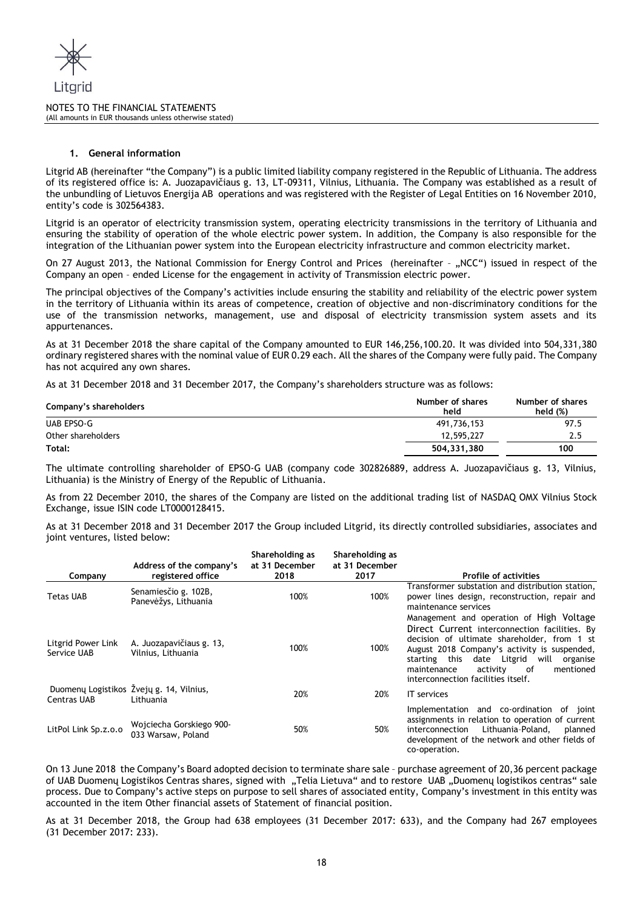

# **1. General information**

Litgrid AB (hereinafter "the Company") is a public limited liability company registered in the Republic of Lithuania. The address of its registered office is: A. Juozapavičiaus g. 13, LT-09311, Vilnius, Lithuania. The Company was established as a result of the unbundling of Lietuvos Energija AB operations and was registered with the Register of Legal Entities on 16 November 2010, entity's code is 302564383.

Litgrid is an operator of electricity transmission system, operating electricity transmissions in the territory of Lithuania and ensuring the stability of operation of the whole electric power system. In addition, the Company is also responsible for the integration of the Lithuanian power system into the European electricity infrastructure and common electricity market.

On 27 August 2013, the National Commission for Energy Control and Prices (hereinafter - "NCC") issued in respect of the Company an open – ended License for the engagement in activity of Transmission electric power.

The principal objectives of the Company's activities include ensuring the stability and reliability of the electric power system in the territory of Lithuania within its areas of competence, creation of objective and non-discriminatory conditions for the use of the transmission networks, management, use and disposal of electricity transmission system assets and its appurtenances.

As at 31 December 2018 the share capital of the Company amounted to EUR 146,256,100.20. It was divided into 504,331,380 ordinary registered shares with the nominal value of EUR 0.29 each. All the shares of the Company were fully paid. The Company has not acquired any own shares.

As at 31 December 2018 and 31 December 2017, the Company's shareholders structure was as follows:

| Company's shareholders | Number of shares<br>held | Number of shares<br>held $(\%)$ |
|------------------------|--------------------------|---------------------------------|
| UAB EPSO-G             | 491,736,153              | 97.5                            |
| Other shareholders     | 12,595,227               | 2.5                             |
| Total:                 | 504,331,380              | 100                             |

The ultimate controlling shareholder of EPSO-G UAB (company code 302826889, address A. Juozapavičiaus g. 13, Vilnius, Lithuania) is the Ministry of Energy of the Republic of Lithuania.

As from 22 December 2010, the shares of the Company are listed on the additional trading list of NASDAQ OMX Vilnius Stock Exchange, issue ISIN code LT0000128415.

As at 31 December 2018 and 31 December 2017 the Group included Litgrid, its directly controlled subsidiaries, associates and joint ventures, listed below:

| Company                           | Address of the company's<br>registered office         | Shareholding as<br>at 31 December<br>2018 | Shareholding as<br>at 31 December<br>2017 | <b>Profile of activities</b>                                                                                                                                                                                                                                                    |
|-----------------------------------|-------------------------------------------------------|-------------------------------------------|-------------------------------------------|---------------------------------------------------------------------------------------------------------------------------------------------------------------------------------------------------------------------------------------------------------------------------------|
| Tetas UAB                         | Senamiesčio g. 102B,<br>Panevėžys, Lithuania          | 100%                                      | 100%                                      | Transformer substation and distribution station,<br>power lines design, reconstruction, repair and<br>maintenance services<br>Management and operation of High Voltage                                                                                                          |
| Litgrid Power Link<br>Service UAB | A. Juozapavičiaus g. 13,<br>Vilnius, Lithuania        | 100%                                      | 100%                                      | Direct Current interconnection facilities. By<br>decision of ultimate shareholder, from 1 st<br>August 2018 Company's activity is suspended,<br>starting this date Litgrid will<br>organise<br>mentioned<br>activity<br>maintenance<br>0f<br>interconnection facilities itself. |
| Centras UAB                       | Duomenų Logistikos Žvejų g. 14, Vilnius,<br>Lithuania | 20%                                       | 20%                                       | <b>IT</b> services                                                                                                                                                                                                                                                              |
| LitPol Link Sp.z.o.o              | Wojciecha Gorskiego 900-<br>033 Warsaw, Poland        | 50%                                       | 50%                                       | Implementation and co-ordination of joint<br>assignments in relation to operation of current<br>Lithuania-Poland,<br>interconnection<br>planned<br>development of the network and other fields of<br>co-operation.                                                              |

On 13 June 2018 the Company's Board adopted decision to terminate share sale – purchase agreement of 20,36 percent package of UAB Duomenų Logistikos Centras shares, signed with "Telia Lietuva" and to restore UAB "Duomenų logistikos centras" sale process. Due to Company's active steps on purpose to sell shares of associated entity, Company's investment in this entity was accounted in the item Other financial assets of Statement of financial position.

As at 31 December 2018, the Group had 638 employees (31 December 2017: 633), and the Company had 267 employees (31 December 2017: 233).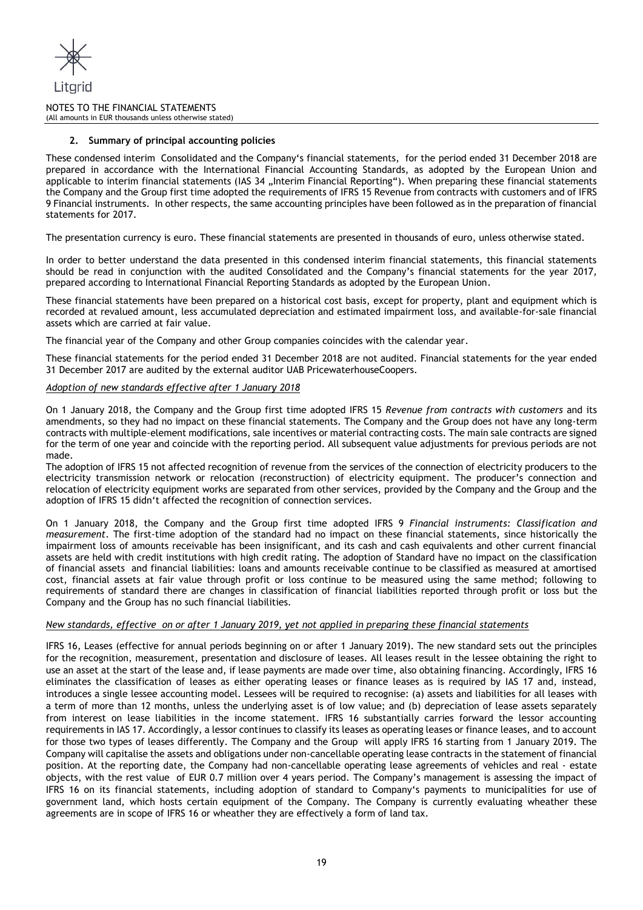

# **2. Summary of principal accounting policies**

These condensed interim Consolidated and the Company's financial statements, for the period ended 31 December 2018 are prepared in accordance with the International Financial Accounting Standards, as adopted by the European Union and applicable to interim financial statements (IAS 34 "Interim Financial Reporting"). When preparing these financial statements the Company and the Group first time adopted the requirements of IFRS 15 Revenue from contracts with customers and of IFRS 9 Financial instruments. In other respects, the same accounting principles have been followed as in the preparation of financial statements for 2017.

The presentation currency is euro. These financial statements are presented in thousands of euro, unless otherwise stated.

In order to better understand the data presented in this condensed interim financial statements, this financial statements should be read in conjunction with the audited Consolidated and the Company's financial statements for the year 2017, prepared according to International Financial Reporting Standards as adopted by the European Union.

These financial statements have been prepared on a historical cost basis, except for property, plant and equipment which is recorded at revalued amount, less accumulated depreciation and estimated impairment loss, and available-for-sale financial assets which are carried at fair value.

The financial year of the Company and other Group companies coincides with the calendar year.

These financial statements for the period ended 31 December 2018 are not audited. Financial statements for the year ended 31 December 2017 are audited by the external auditor UAB PricewaterhouseCoopers.

#### *Adoption of new standards effective after 1 January 2018*

On 1 January 2018, the Company and the Group first time adopted IFRS 15 *Revenue from contracts with customers* and its amendments, so they had no impact on these financial statements. The Company and the Group does not have any long-term contracts with multiple-element modifications, sale incentives or material contracting costs. The main sale contracts are signed for the term of one year and coincide with the reporting period. All subsequent value adjustments for previous periods are not made.

The adoption of IFRS 15 not affected recognition of revenue from the services of the connection of electricity producers to the electricity transmission network or relocation (reconstruction) of electricity equipment. The producer's connection and relocation of electricity equipment works are separated from other services, provided by the Company and the Group and the adoption of IFRS 15 didn't affected the recognition of connection services.

On 1 January 2018, the Company and the Group first time adopted IFRS 9 *Financial instruments: Classification and measurement*. The first-time adoption of the standard had no impact on these financial statements, since historically the impairment loss of amounts receivable has been insignificant, and its cash and cash equivalents and other current financial assets are held with credit institutions with high credit rating. The adoption of Standard have no impact on the classification of financial assets and financial liabilities: loans and amounts receivable continue to be classified as measured at amortised cost, financial assets at fair value through profit or loss continue to be measured using the same method; following to requirements of standard there are changes in classification of financial liabilities reported through profit or loss but the Company and the Group has no such financial liabilities.

# *New standards, effective on or after 1 January 2019, yet not applied in preparing these financial statements*

IFRS 16, Leases (effective for annual periods beginning on or after 1 January 2019). The new standard sets out the principles for the recognition, measurement, presentation and disclosure of leases. All leases result in the lessee obtaining the right to use an asset at the start of the lease and, if lease payments are made over time, also obtaining financing. Accordingly, IFRS 16 eliminates the classification of leases as either operating leases or finance leases as is required by IAS 17 and, instead, introduces a single lessee accounting model. Lessees will be required to recognise: (a) assets and liabilities for all leases with a term of more than 12 months, unless the underlying asset is of low value; and (b) depreciation of lease assets separately from interest on lease liabilities in the income statement. IFRS 16 substantially carries forward the lessor accounting requirements in IAS 17. Accordingly, a lessor continues to classify its leases as operating leases or finance leases, and to account for those two types of leases differently. The Company and the Group will apply IFRS 16 starting from 1 January 2019. The Company will capitalise the assets and obligations under non-cancellable operating lease contracts in the statement of financial position. At the reporting date, the Company had non-cancellable operating lease agreements of vehicles and real - estate objects, with the rest value of EUR 0.7 million over 4 years period. The Company's management is assessing the impact of IFRS 16 on its financial statements, including adoption of standard to Company's payments to municipalities for use of government land, which hosts certain equipment of the Company. The Company is currently evaluating wheather these agreements are in scope of IFRS 16 or wheather they are effectively a form of land tax.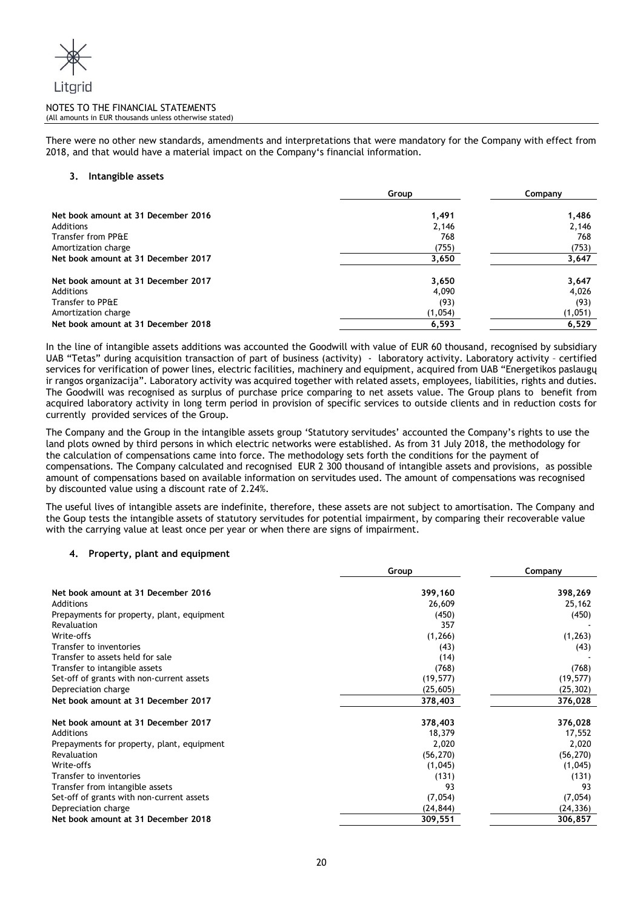There were no other new standards, amendments and interpretations that were mandatory for the Company with effect from 2018, and that would have a material impact on the Company's financial information.

# **3. Intangible assets**

|                                     | Group   | Company |  |
|-------------------------------------|---------|---------|--|
| Net book amount at 31 December 2016 | 1,491   | 1,486   |  |
| Additions                           | 2,146   | 2,146   |  |
| Transfer from PP&E                  | 768     | 768     |  |
| Amortization charge                 | (755)   | (753)   |  |
| Net book amount at 31 December 2017 | 3,650   | 3,647   |  |
| Net book amount at 31 December 2017 | 3,650   | 3,647   |  |
| Additions                           | 4,090   | 4,026   |  |
| Transfer to PP&E                    | (93)    | (93)    |  |
| Amortization charge                 | (1,054) | (1,051) |  |
| Net book amount at 31 December 2018 | 6,593   | 6,529   |  |

In the line of intangible assets additions was accounted the Goodwill with value of EUR 60 thousand, recognised by subsidiary UAB "Tetas" during acquisition transaction of part of business (activity) - laboratory activity. Laboratory activity – certified services for verification of power lines, electric facilities, machinery and equipment, acquired from UAB "Energetikos paslaugų ir rangos organizacija". Laboratory activity was acquired together with related assets, employees, liabilities, rights and duties. The Goodwill was recognised as surplus of purchase price comparing to net assets value. The Group plans to benefit from acquired laboratory activity in long term period in provision of specific services to outside clients and in reduction costs for currently provided services of the Group.

The Company and the Group in the intangible assets group 'Statutory servitudes' accounted the Company's rights to use the land plots owned by third persons in which electric networks were established. As from 31 July 2018, the methodology for the calculation of compensations came into force. The methodology sets forth the conditions for the payment of compensations. The Company calculated and recognised EUR 2 300 thousand of intangible assets and provisions, as possible amount of compensations based on available information on servitudes used. The amount of compensations was recognised by discounted value using a discount rate of 2.24%.

The useful lives of intangible assets are indefinite, therefore, these assets are not subject to amortisation. The Company and the Goup tests the intangible assets of statutory servitudes for potential impairment, by comparing their recoverable value with the carrying value at least once per year or when there are signs of impairment.

# **4. Property, plant and equipment**

|                                            | Group     | Company   |  |
|--------------------------------------------|-----------|-----------|--|
| Net book amount at 31 December 2016        | 399,160   | 398,269   |  |
| Additions                                  | 26,609    | 25,162    |  |
| Prepayments for property, plant, equipment | (450)     | (450)     |  |
| Revaluation                                | 357       |           |  |
| Write-offs                                 | (1, 266)  | (1, 263)  |  |
| Transfer to inventories                    | (43)      | (43)      |  |
| Transfer to assets held for sale           | (14)      |           |  |
| Transfer to intangible assets              | (768)     | (768)     |  |
| Set-off of grants with non-current assets  | (19, 577) | (19, 577) |  |
| Depreciation charge                        | (25, 605) | (25, 302) |  |
| Net book amount at 31 December 2017        | 378,403   | 376,028   |  |
| Net book amount at 31 December 2017        | 378,403   | 376,028   |  |
| Additions                                  | 18,379    | 17,552    |  |
| Prepayments for property, plant, equipment | 2,020     | 2,020     |  |
| Revaluation                                | (56, 270) | (56, 270) |  |
| Write-offs                                 | (1,045)   | (1,045)   |  |
| Transfer to inventories                    | (131)     | (131)     |  |
| Transfer from intangible assets            | 93        | 93        |  |
| Set-off of grants with non-current assets  | (7,054)   | (7,054)   |  |
| Depreciation charge                        | (24, 844) | (24, 336) |  |
| Net book amount at 31 December 2018        | 309,551   | 306,857   |  |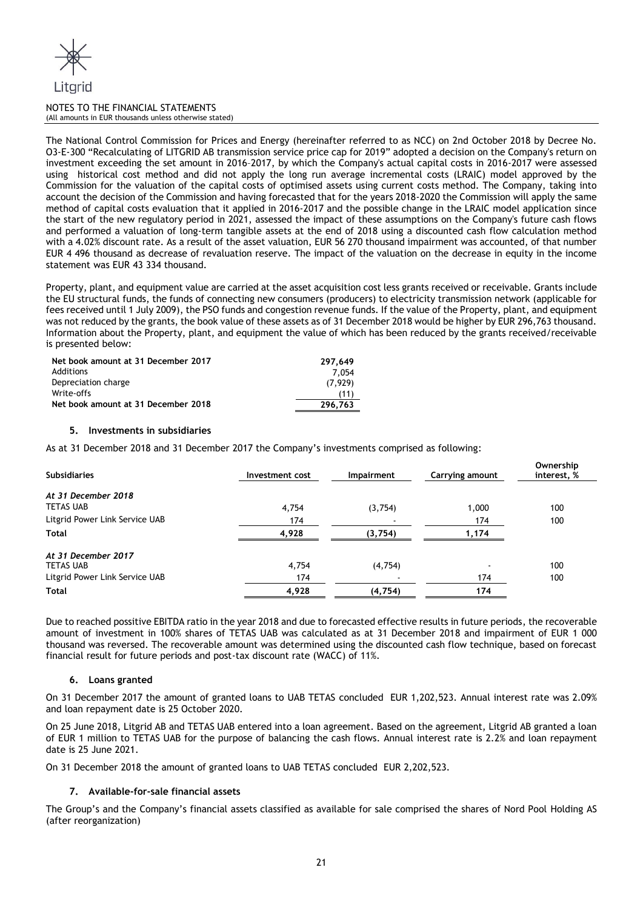

The National Control Commission for Prices and Energy (hereinafter referred to as NCC) on 2nd October 2018 by Decree No. O3-E-300 "Recalculating of LITGRID AB transmission service price cap for 2019" adopted a decision on the Company's return on investment exceeding the set amount in 2016–2017, by which the Company's actual capital costs in 2016-2017 were assessed using historical cost method and did not apply the long run average incremental costs (LRAIC) model approved by the Commission for the valuation of the capital costs of optimised assets using current costs method. The Company, taking into account the decision of the Commission and having forecasted that for the years 2018-2020 the Commission will apply the same method of capital costs evaluation that it applied in 2016-2017 and the possible change in the LRAIC model application since the start of the new regulatory period in 2021, assessed the impact of these assumptions on the Company's future cash flows and performed a valuation of long-term tangible assets at the end of 2018 using a discounted cash flow calculation method with a 4.02% discount rate. As a result of the asset valuation, EUR 56 270 thousand impairment was accounted, of that number EUR 4 496 thousand as decrease of revaluation reserve. The impact of the valuation on the decrease in equity in the income statement was EUR 43 334 thousand.

Property, plant, and equipment value are carried at the asset acquisition cost less grants received or receivable. Grants include the EU structural funds, the funds of connecting new consumers (producers) to electricity transmission network (applicable for fees received until 1 July 2009), the PSO funds and congestion revenue funds. If the value of the Property, plant, and equipment was not reduced by the grants, the book value of these assets as of 31 December 2018 would be higher by EUR 296,763 thousand. Information about the Property, plant, and equipment the value of which has been reduced by the grants received/receivable is presented below:

| Net book amount at 31 December 2017 | 297.649 |
|-------------------------------------|---------|
| Additions                           | 7.054   |
| Depreciation charge                 | (7.929) |
| Write-offs                          | (11)    |
| Net book amount at 31 December 2018 | 296.763 |

# **5. Investments in subsidiaries**

As at 31 December 2018 and 31 December 2017 the Company's investments comprised as following:

| <b>Subsidiaries</b>            | Investment cost | Impairment | Carrying amount | Ownership<br>interest, % |
|--------------------------------|-----------------|------------|-----------------|--------------------------|
| At 31 December 2018            |                 |            |                 |                          |
| <b>TETAS UAB</b>               | 4,754           | (3,754)    | 1,000           | 100                      |
| Litgrid Power Link Service UAB | 174             |            | 174             | 100                      |
| Total                          | 4,928           | (3,754)    | 1,174           |                          |
| At 31 December 2017            |                 |            |                 |                          |
| <b>TETAS UAB</b>               | 4.754           | (4,754)    |                 | 100                      |
| Litgrid Power Link Service UAB | 174             |            | 174             | 100                      |
| Total                          | 4,928           | (4, 754)   | 174             |                          |

Due to reached possitive EBITDA ratio in the year 2018 and due to forecasted effective results in future periods, the recoverable amount of investment in 100% shares of TETAS UAB was calculated as at 31 December 2018 and impairment of EUR 1 000 thousand was reversed. The recoverable amount was determined using the discounted cash flow technique, based on forecast financial result for future periods and post-tax discount rate (WACC) of 11%.

# **6. Loans granted**

On 31 December 2017 the amount of granted loans to UAB TETAS concluded EUR 1,202,523. Annual interest rate was 2.09% and loan repayment date is 25 October 2020.

On 25 June 2018, Litgrid AB and TETAS UAB entered into a loan agreement. Based on the agreement, Litgrid AB granted a loan of EUR 1 million to TETAS UAB for the purpose of balancing the cash flows. Annual interest rate is 2.2% and loan repayment date is 25 June 2021.

On 31 December 2018 the amount of granted loans to UAB TETAS concluded EUR 2,202,523.

# **7. Available-for-sale financial assets**

The Group's and the Company's financial assets classified as available for sale comprised the shares of Nord Pool Holding AS (after reorganization)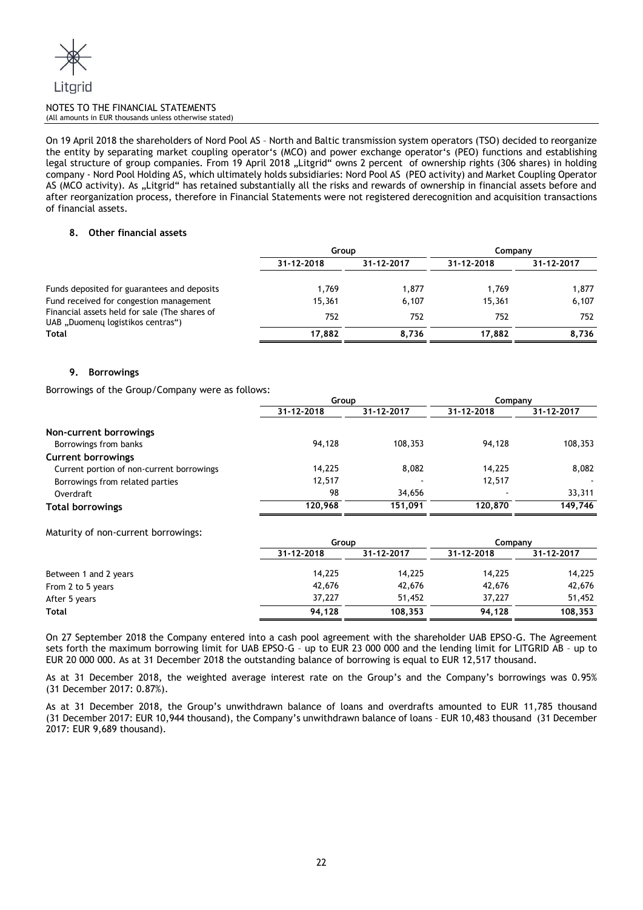

On 19 April 2018 the shareholders of Nord Pool AS – North and Baltic transmission system operators (TSO) decided to reorganize the entity by separating market coupling operator's (MCO) and power exchange operator's (PEO) functions and establishing legal structure of group companies. From 19 April 2018 "Litgrid" owns 2 percent of ownership rights (306 shares) in holding company - Nord Pool Holding AS, which ultimately holds subsidiaries: Nord Pool AS (PEO activity) and Market Coupling Operator AS (MCO activity). As ..Litgrid" has retained substantially all the risks and rewards of ownership in financial assets before and after reorganization process, therefore in Financial Statements were not registered derecognition and acquisition transactions of financial assets.

# **8. Other financial assets**

|                                                                                    | Group      |            | Company    |            |  |
|------------------------------------------------------------------------------------|------------|------------|------------|------------|--|
|                                                                                    | 31-12-2018 | 31-12-2017 | 31-12-2018 | 31-12-2017 |  |
| Funds deposited for guarantees and deposits                                        | 1.769      | 1,877      | 1,769      | 1,877      |  |
| Fund received for congestion management                                            | 15.361     | 6.107      | 15,361     | 6,107      |  |
| Financial assets held for sale (The shares of<br>UAB "Duomenų logistikos centras") | 752        | 752        | 752        | 752        |  |
| <b>Total</b>                                                                       | 17,882     | 8,736      | 17,882     | 8,736      |  |

# **9. Borrowings**

Borrowings of the Group/Company were as follows:

|                                           | Group      |            | Company    |            |
|-------------------------------------------|------------|------------|------------|------------|
|                                           | 31-12-2018 | 31-12-2017 | 31-12-2018 | 31-12-2017 |
| Non-current borrowings                    |            |            |            |            |
| Borrowings from banks                     | 94.128     | 108,353    | 94.128     | 108,353    |
| <b>Current borrowings</b>                 |            |            |            |            |
| Current portion of non-current borrowings | 14.225     | 8,082      | 14.225     | 8,082      |
| Borrowings from related parties           | 12,517     |            | 12,517     |            |
| Overdraft                                 | 98         | 34,656     |            | 33,311     |
| <b>Total borrowings</b>                   | 120.968    | 151.091    | 120,870    | 149,746    |

Maturity of non-current borrowings:

|                       | Group      |            | Companv    |            |  |
|-----------------------|------------|------------|------------|------------|--|
|                       | 31-12-2018 | 31-12-2017 | 31-12-2018 | 31-12-2017 |  |
| Between 1 and 2 years | 14.225     | 14,225     | 14,225     | 14,225     |  |
| From 2 to 5 years     | 42,676     | 42,676     | 42,676     | 42,676     |  |
| After 5 years         | 37,227     | 51,452     | 37,227     | 51,452     |  |
| Total                 | 94,128     | 108,353    | 94,128     | 108,353    |  |

On 27 September 2018 the Company entered into a cash pool agreement with the shareholder UAB EPSO-G. The Agreement sets forth the maximum borrowing limit for UAB EPSO-G – up to EUR 23 000 000 and the lending limit for LITGRID AB – up to EUR 20 000 000. As at 31 December 2018 the outstanding balance of borrowing is equal to EUR 12,517 thousand.

As at 31 December 2018, the weighted average interest rate on the Group's and the Company's borrowings was 0.95% (31 December 2017: 0.87%).

As at 31 December 2018, the Group's unwithdrawn balance of loans and overdrafts amounted to EUR 11,785 thousand (31 December 2017: EUR 10,944 thousand), the Company's unwithdrawn balance of loans – EUR 10,483 thousand (31 December 2017: EUR 9,689 thousand).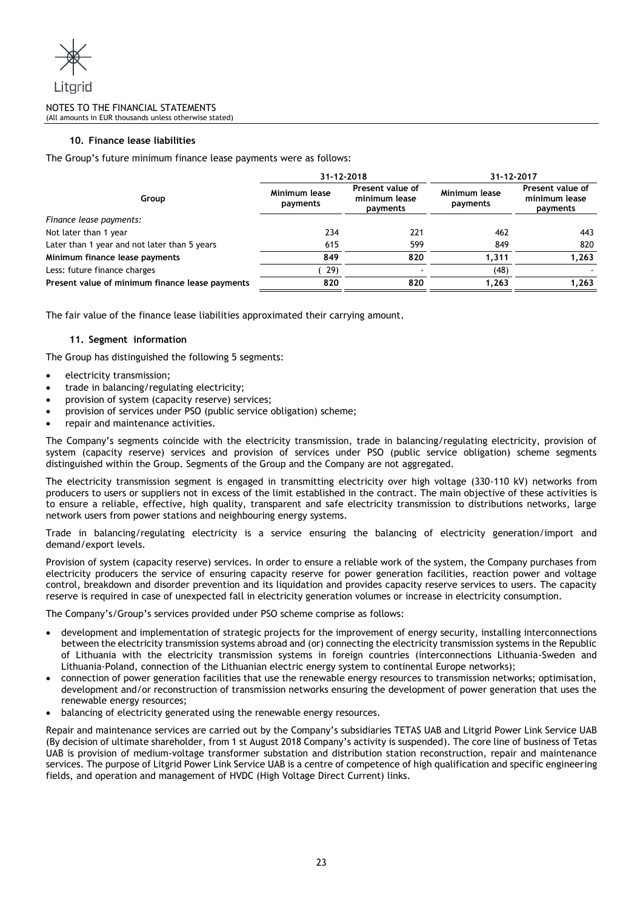

# **10. Finance lease liabilities**

The Group's future minimum finance lease payments were as follows:

|                                                 | 31-12-2018                |                                                                            | 31-12-2017 |                                                      |  |
|-------------------------------------------------|---------------------------|----------------------------------------------------------------------------|------------|------------------------------------------------------|--|
| Group                                           | Minimum lease<br>payments | Present value of<br>Minimum lease<br>minimum lease<br>payments<br>payments |            | <b>Present value of</b><br>minimum lease<br>payments |  |
| Finance lease payments:                         |                           |                                                                            |            |                                                      |  |
| Not later than 1 year                           | 234                       | 221                                                                        | 462        | 443                                                  |  |
| Later than 1 year and not later than 5 years    | 615                       | 599                                                                        | 849        | 820                                                  |  |
| Minimum finance lease payments                  | 849                       | 820                                                                        | 1,311      | 1,263                                                |  |
| Less: future finance charges                    | 29)                       |                                                                            | (48)       |                                                      |  |
| Present value of minimum finance lease payments | 820                       | 820                                                                        | 1.263      | 1,263                                                |  |

The fair value of the finance lease liabilities approximated their carrying amount.

# **11. Segment information**

The Group has distinguished the following 5 segments:

- electricity transmission;
- trade in balancing/regulating electricity;
- provision of system (capacity reserve) services;
- provision of services under PSO (public service obligation) scheme;
- repair and maintenance activities.

The Company's segments coincide with the electricity transmission, trade in balancing/regulating electricity, provision of system (capacity reserve) services and provision of services under PSO (public service obligation) scheme segments distinguished within the Group. Segments of the Group and the Company are not aggregated.

The electricity transmission segment is engaged in transmitting electricity over high voltage (330-110 kV) networks from producers to users or suppliers not in excess of the limit established in the contract. The main objective of these activities is to ensure a reliable, effective, high quality, transparent and safe electricity transmission to distributions networks, large network users from power stations and neighbouring energy systems.

Trade in balancing/regulating electricity is a service ensuring the balancing of electricity generation/import and demand/export levels.

Provision of system (capacity reserve) services. In order to ensure a reliable work of the system, the Company purchases from electricity producers the service of ensuring capacity reserve for power generation facilities, reaction power and voltage control, breakdown and disorder prevention and its liquidation and provides capacity reserve services to users. The capacity reserve is required in case of unexpected fall in electricity generation volumes or increase in electricity consumption.

The Company's/Group's services provided under PSO scheme comprise as follows:

- development and implementation of strategic projects for the improvement of energy security, installing interconnections between the electricity transmission systems abroad and (or) connecting the electricity transmission systems in the Republic of Lithuania with the electricity transmission systems in foreign countries (interconnections Lithuania-Sweden and Lithuania-Poland, connection of the Lithuanian electric energy system to continental Europe networks);
- connection of power generation facilities that use the renewable energy resources to transmission networks; optimisation, development and/or reconstruction of transmission networks ensuring the development of power generation that uses the renewable energy resources;
- balancing of electricity generated using the renewable energy resources.

Repair and maintenance services are carried out by the Company's subsidiaries TETAS UAB and Litgrid Power Link Service UAB (By decision of ultimate shareholder, from 1 st August 2018 Company's activity is suspended). The core line of business of Tetas UAB is provision of medium-voltage transformer substation and distribution station reconstruction, repair and maintenance services. The purpose of Litgrid Power Link Service UAB is a centre of competence of high qualification and specific engineering fields, and operation and management of HVDC (High Voltage Direct Current) links.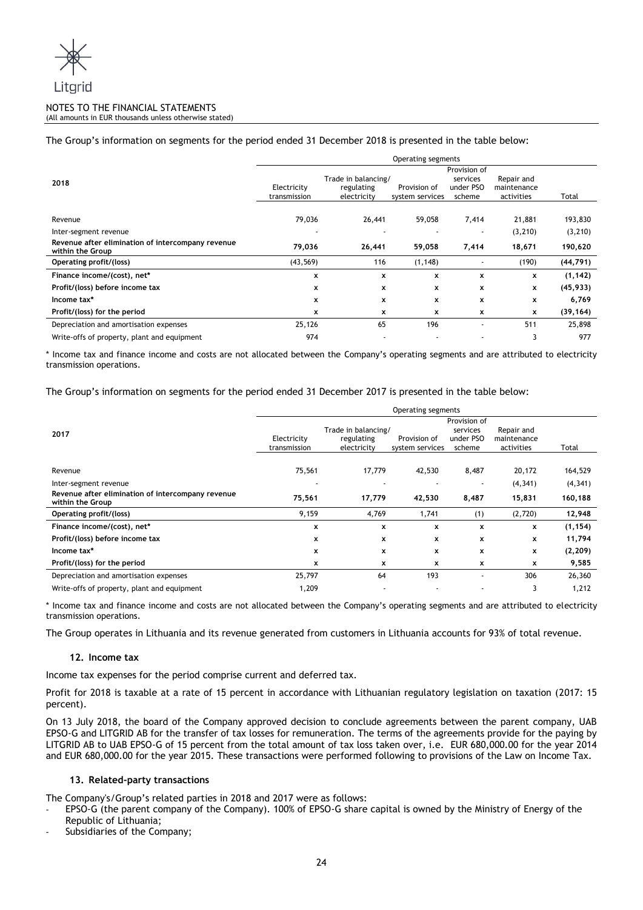

# The Group's information on segments for the period ended 31 December 2018 is presented in the table below:

|                                                                       | Operating segments |                                   |                 |                       |                           |           |  |
|-----------------------------------------------------------------------|--------------------|-----------------------------------|-----------------|-----------------------|---------------------------|-----------|--|
|                                                                       | Provision of       |                                   |                 |                       |                           |           |  |
| 2018                                                                  | Electricity        | Trade in balancing/<br>regulating | Provision of    | services<br>under PSO | Repair and<br>maintenance |           |  |
|                                                                       | transmission       | electricity                       | system services | scheme                | activities                | Total     |  |
|                                                                       |                    |                                   |                 |                       |                           |           |  |
| Revenue                                                               | 79,036             | 26,441                            | 59,058          | 7,414                 | 21,881                    | 193,830   |  |
| Inter-segment revenue                                                 |                    |                                   |                 |                       | (3, 210)                  | (3, 210)  |  |
| Revenue after elimination of intercompany revenue<br>within the Group | 79,036             | 26,441                            | 59,058          | 7,414                 | 18,671                    | 190,620   |  |
| Operating profit/(loss)                                               | (43, 569)          | 116                               | (1, 148)        |                       | (190)                     | (44, 791) |  |
| Finance income/(cost), net*                                           | x                  | x                                 | $\mathbf{x}$    | x                     | x                         | (1, 142)  |  |
| Profit/(loss) before income tax                                       | x                  | x                                 | x               | x                     | x                         | (45, 933) |  |
| Income tax*                                                           | x                  | x                                 | x               | x                     | x                         | 6,769     |  |
| Profit/(loss) for the period                                          | x                  | x                                 | x               | x                     | x                         | (39, 164) |  |
| Depreciation and amortisation expenses                                | 25,126             | 65                                | 196             |                       | 511                       | 25,898    |  |
| Write-offs of property, plant and equipment                           | 974                |                                   |                 |                       | 3                         | 977       |  |

\* Income tax and finance income and costs are not allocated between the Company's operating segments and are attributed to electricity transmission operations.

The Group's information on segments for the period ended 31 December 2017 is presented in the table below:

|                                                   | Operating segments |                     |                 |           |             |          |  |  |  |
|---------------------------------------------------|--------------------|---------------------|-----------------|-----------|-------------|----------|--|--|--|
|                                                   | Provision of       |                     |                 |           |             |          |  |  |  |
| 2017                                              |                    | Trade in balancing/ |                 | services  | Repair and  |          |  |  |  |
|                                                   | Electricity        | regulating          | Provision of    | under PSO | maintenance |          |  |  |  |
|                                                   | transmission       | electricity         | system services | scheme    | activities  | Total    |  |  |  |
|                                                   |                    |                     |                 |           |             |          |  |  |  |
| Revenue                                           | 75,561             | 17,779              | 42,530          | 8,487     | 20,172      | 164,529  |  |  |  |
| Inter-segment revenue                             |                    |                     |                 |           | (4, 341)    | (4, 341) |  |  |  |
| Revenue after elimination of intercompany revenue | 75,561             | 17,779              | 42,530          | 8,487     | 15,831      | 160,188  |  |  |  |
| within the Group                                  |                    |                     |                 |           |             |          |  |  |  |
| Operating profit/(loss)                           | 9,159              | 4,769               | 1,741           | (1)       | (2,720)     | 12,948   |  |  |  |
| Finance income/(cost), net*                       | x                  | x                   | x               | x         | x           | (1, 154) |  |  |  |
| Profit/(loss) before income tax                   | x                  | x                   | x               | x         | x           | 11,794   |  |  |  |
| Income tax*                                       | X                  | x                   | x               | x         | x           | (2, 209) |  |  |  |
| Profit/(loss) for the period                      | x                  | x                   | x               | x         | x           | 9,585    |  |  |  |
| Depreciation and amortisation expenses            | 25,797             | 64                  | 193             | ٠         | 306         | 26,360   |  |  |  |
| Write-offs of property, plant and equipment       | 1,209              |                     |                 | ٠         | 3           | 1,212    |  |  |  |

\* Income tax and finance income and costs are not allocated between the Company's operating segments and are attributed to electricity transmission operations.

The Group operates in Lithuania and its revenue generated from customers in Lithuania accounts for 93% of total revenue.

# **12. Income tax**

Income tax expenses for the period comprise current and deferred tax.

Profit for 2018 is taxable at a rate of 15 percent in accordance with Lithuanian regulatory legislation on taxation (2017: 15 percent).

On 13 July 2018, the board of the Company approved decision to conclude agreements between the parent company, UAB EPSO-G and LITGRID AB for the transfer of tax losses for remuneration. The terms of the agreements provide for the paying by LITGRID AB to UAB EPSO-G of 15 percent from the total amount of tax loss taken over, i.e. EUR 680,000.00 for the year 2014 and EUR 680,000.00 for the year 2015. These transactions were performed following to provisions of the Law on Income Tax.

# **13. Related-party transactions**

The Company's/Group's related parties in 2018 and 2017 were as follows:

- EPSO-G (the parent company of the Company). 100% of EPSO-G share capital is owned by the Ministry of Energy of the Republic of Lithuania;
- Subsidiaries of the Company;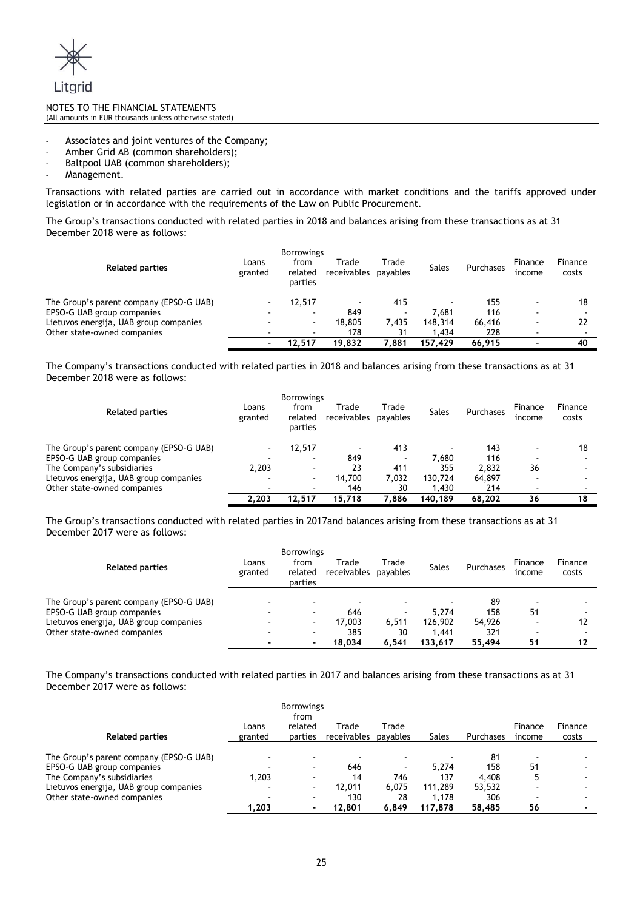

- Associates and joint ventures of the Company;
- Amber Grid AB (common shareholders);
- Baltpool UAB (common shareholders);
- Management.

Transactions with related parties are carried out in accordance with market conditions and the tariffs approved under legislation or in accordance with the requirements of the Law on Public Procurement.

The Group's transactions conducted with related parties in 2018 and balances arising from these transactions as at 31 December 2018 were as follows:

| <b>Related parties</b>                  | Loans<br>granted         | <b>Borrowings</b><br>from<br>related<br>parties | Trade<br>receivables     | Trade<br>payables | <b>Sales</b> | Purchases | Finance<br>income        | Finance<br>costs |
|-----------------------------------------|--------------------------|-------------------------------------------------|--------------------------|-------------------|--------------|-----------|--------------------------|------------------|
| The Group's parent company (EPSO-G UAB) |                          | 12.517                                          | $\overline{\phantom{a}}$ | 415               |              | 155       |                          | 18               |
| EPSO-G UAB group companies              | $\overline{\phantom{0}}$ | $\sim$                                          | 849                      |                   | 7.681        | 116       | <b>.</b>                 |                  |
| Lietuvos energija, UAB group companies  | $\overline{\phantom{0}}$ | $\sim$                                          | 18,805                   | 7.435             | 148.314      | 66,416    |                          | 22               |
| Other state-owned companies             | ۰                        | $\sim$                                          | 178                      | 31                | 1.434        | 228       | $\overline{\phantom{a}}$ |                  |
|                                         |                          | 12.517                                          | 19.832                   | 7.881             | 157.429      | 66.915    |                          | 40               |

The Company's transactions conducted with related parties in 2018 and balances arising from these transactions as at 31 December 2018 were as follows:

| <b>Related parties</b>                  | Loans<br>granted         | <b>Borrowings</b><br>from<br>related<br>parties | Trade<br>receivables | Trade<br>payables        | <b>Sales</b> | Purchases | Finance<br>income | Finance<br>costs |
|-----------------------------------------|--------------------------|-------------------------------------------------|----------------------|--------------------------|--------------|-----------|-------------------|------------------|
| The Group's parent company (EPSO-G UAB) | $\sim$                   | 12,517                                          |                      | 413                      |              | 143       |                   | 18               |
| EPSO-G UAB group companies              | $\overline{a}$           | $\overline{a}$                                  | 849                  | $\overline{\phantom{0}}$ | 7,680        | 116       | <b>.</b>          |                  |
| The Company's subsidiaries              | 2.203                    | $\blacksquare$                                  | 23                   | 411                      | 355          | 2.832     | 36                |                  |
| Lietuvos energija, UAB group companies  | $\sim$                   | $\blacksquare$                                  | 14.700               | 7,032                    | 130.724      | 64,897    |                   |                  |
| Other state-owned companies             | $\overline{\phantom{0}}$ | $\sim$                                          | 146                  | 30                       | 1,430        | 214       |                   |                  |
|                                         | 2.203                    | 12.517                                          | 15.718               | 7.886                    | 140.189      | 68.202    | 36                | 18               |

The Group's transactions conducted with related parties in 2017and balances arising from these transactions as at 31 December 2017 were as follows:

| <b>Related parties</b>                  | Loans<br>granted         | <b>Borrowings</b><br>from<br>related<br>parties | Trade<br>receivables     | Trade<br>payables | <b>Sales</b> | Purchases | Finance<br>income | Finance<br>costs |
|-----------------------------------------|--------------------------|-------------------------------------------------|--------------------------|-------------------|--------------|-----------|-------------------|------------------|
| The Group's parent company (EPSO-G UAB) | $\overline{\phantom{a}}$ | $\sim$                                          | $\overline{\phantom{a}}$ |                   |              | 89        |                   |                  |
| EPSO-G UAB group companies              |                          | ۰                                               | 646                      |                   | 5.274        | 158       | 51                |                  |
| Lietuvos energija, UAB group companies  |                          | $\sim$                                          | 17,003                   | 6,511             | 126,902      | 54,926    |                   |                  |
| Other state-owned companies             |                          | ۰                                               | 385                      | 30                | 1.441        | 321       |                   |                  |
|                                         |                          | $\blacksquare$                                  | 18.034                   | 6.541             | 133.617      | 55.494    | 51                | 12               |

The Company's transactions conducted with related parties in 2017 and balances arising from these transactions as at 31 December 2017 were as follows:

|                                         |         | <b>Borrowings</b><br>from |             |          |              |           |         |         |
|-----------------------------------------|---------|---------------------------|-------------|----------|--------------|-----------|---------|---------|
|                                         | Loans   | related                   | Trade       | Trade    |              |           | Finance | Finance |
| <b>Related parties</b>                  | granted | parties                   | receivables | payables | <b>Sales</b> | Purchases | income  | costs   |
| The Group's parent company (EPSO-G UAB) |         |                           |             |          |              | 81        |         |         |
| EPSO-G UAB group companies              |         | $\overline{\phantom{0}}$  | 646         |          | 5.274        | 158       | 51      |         |
| The Company's subsidiaries              | 1.203   | $\overline{\phantom{0}}$  | 14          | 746      | 137          | 4,408     |         |         |
| Lietuvos energija, UAB group companies  |         |                           | 12.011      | 6.075    | 111,289      | 53,532    |         |         |
| Other state-owned companies             |         | $\sim$                    | 130         | 28       | 1.178        | 306       |         |         |
|                                         | 1.203   | $\blacksquare$            | 12.801      | 6.849    | 117.878      | 58,485    | 56      |         |